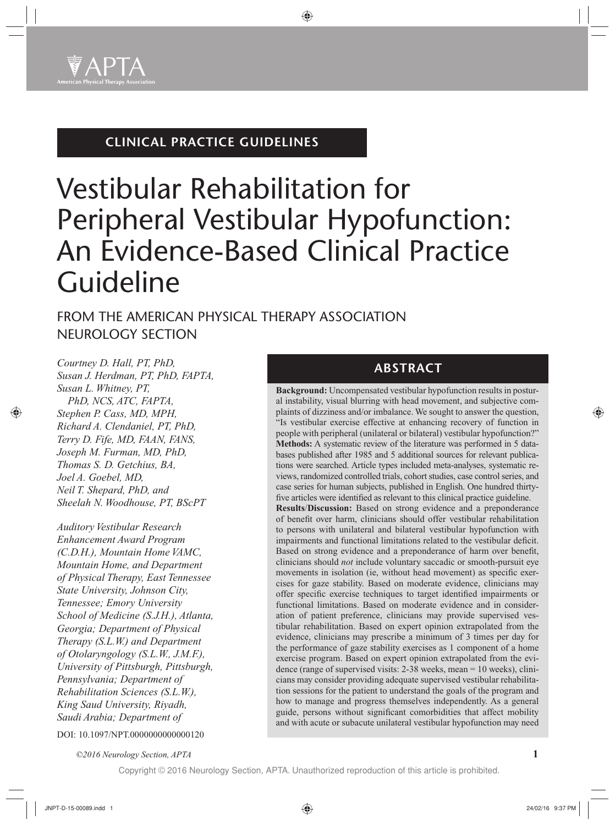

## **CLINICAL PRACTICE GUIDELINES**

# Vestibular Rehabilitation for Peripheral Vestibular Hypofunction: An Evidence-Based Clinical Practice Guideline

FROM THE AMERICAN PHYSICAL THERAPY ASSOCIATION NEUROLOGY SECTION

*Courtney D. Hall, PT, PhD, Susan J. Herdman, PT, PhD, FAPTA, Susan L. Whitney, PT, PhD, NCS, ATC, FAPTA, Stephen P. Cass, MD, MPH, Richard A. Clendaniel, PT, PhD, Terry D. Fife, MD, FAAN, FANS, Joseph M. Furman, MD, PhD, Thomas S. D. Getchius, BA, Joel A. Goebel, MD, Neil T. Shepard, PhD, and Sheelah N. Woodhouse, PT, BScPT*

*Auditory Vestibular Research Enhancement Award Program (C.D.H.), Mountain Home VAMC, Mountain Home, and Department of Physical Therapy, East Tennessee State University, Johnson City, Tennessee; Emory University School of Medicine (S.J.H.), Atlanta, Georgia; Department of Physical Therapy (S.L.W.) and Department of Otolaryngology (S.L.W., J.M.F.), University of Pittsburgh, Pittsburgh, Pennsylvania; Department of Rehabilitation Sciences (S.L.W.), King Saud University, Riyadh, Saudi Arabia; Department of* 

DOI: 10.1097/NPT.0000000000000120

## **ABSTRACT**

**Background:** Uncompensated vestibular hypofunction results in postural instability, visual blurring with head movement, and subjective complaints of dizziness and/or imbalance. We sought to answer the question, "Is vestibular exercise effective at enhancing recovery of function in people with peripheral (unilateral or bilateral) vestibular hypofunction?" **Methods:** A systematic review of the literature was performed in 5 databases published after 1985 and 5 additional sources for relevant publications were searched. Article types included meta-analyses, systematic reviews, randomized controlled trials, cohort studies, case control series, and case series for human subjects, published in English. One hundred thirtyfive articles were identified as relevant to this clinical practice guideline. **Results**/**Discussion:** Based on strong evidence and a preponderance of benefit over harm, clinicians should offer vestibular rehabilitation to persons with unilateral and bilateral vestibular hypofunction with impairments and functional limitations related to the vestibular deficit. Based on strong evidence and a preponderance of harm over benefit, clinicians should *not* include voluntary saccadic or smooth-pursuit eye movements in isolation (ie, without head movement) as specific exercises for gaze stability. Based on moderate evidence, clinicians may offer specific exercise techniques to target identified impairments or functional limitations. Based on moderate evidence and in consideration of patient preference, clinicians may provide supervised vestibular rehabilitation. Based on expert opinion extrapolated from the evidence, clinicians may prescribe a minimum of 3 times per day for the performance of gaze stability exercises as 1 component of a home exercise program. Based on expert opinion extrapolated from the evidence (range of supervised visits: 2-38 weeks, mean = 10 weeks), clinicians may consider providing adequate supervised vestibular rehabilitation sessions for the patient to understand the goals of the program and how to manage and progress themselves independently. As a general guide, persons without significant comorbidities that affect mobility and with acute or subacute unilateral vestibular hypofunction may need

*©2016 Neurology Section, APTA* **1**

Copyright © 2016 Neurology Section, APTA. Unauthorized reproduction of this article is prohibited.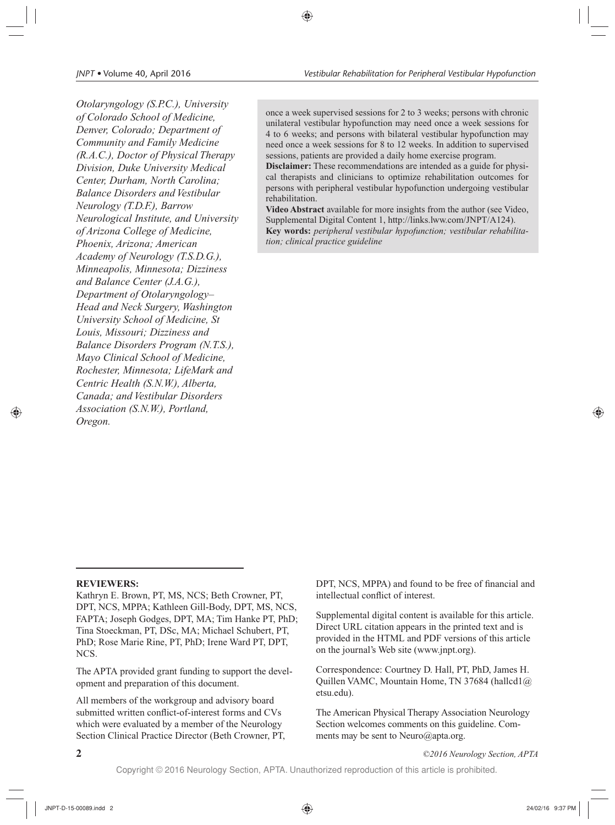*Otolaryngology (S.P.C.), University of Colorado School of Medicine, Denver, Colorado; Department of Community and Family Medicine (R.A.C.), Doctor of Physical Therapy Division, Duke University Medical Center, Durham, North Carolina; Balance Disorders and Vestibular Neurology (T.D.F.), Barrow Neurological Institute, and University of Arizona College of Medicine, Phoenix, Arizona; American Academy of Neurology (T.S.D.G.), Minneapolis, Minnesota; Dizziness and Balance Center (J.A.G.), Department of Otolaryngology– Head and Neck Surgery, Washington University School of Medicine, St Louis, Missouri; Dizziness and Balance Disorders Program (N.T.S.), Mayo Clinical School of Medicine, Rochester, Minnesota; LifeMark and Centric Health (S.N.W.), Alberta, Canada; and Vestibular Disorders Association (S.N.W.), Portland, Oregon.*

once a week supervised sessions for 2 to 3 weeks; persons with chronic unilateral vestibular hypofunction may need once a week sessions for 4 to 6 weeks; and persons with bilateral vestibular hypofunction may need once a week sessions for 8 to 12 weeks. In addition to supervised sessions, patients are provided a daily home exercise program.

**Disclaimer:** These recommendations are intended as a guide for physical therapists and clinicians to optimize rehabilitation outcomes for persons with peripheral vestibular hypofunction undergoing vestibular rehabilitation.

**Video Abstract** available for more insights from the author (see Video, Supplemental Digital Content 1, http://links.lww.com/JNPT/A124). **Key words:** *peripheral vestibular hypofunction; vestibular rehabilitation; clinical practice guideline*

#### **REVIEWERS:**

Kathryn E. Brown, PT, MS, NCS; Beth Crowner, PT, DPT, NCS, MPPA; Kathleen Gill-Body, DPT, MS, NCS, FAPTA; Joseph Godges, DPT, MA; Tim Hanke PT, PhD; Tina Stoeckman, PT, DSc, MA; Michael Schubert, PT, PhD; Rose Marie Rine, PT, PhD; Irene Ward PT, DPT, NCS.

The APTA provided grant funding to support the development and preparation of this document.

All members of the workgroup and advisory board submitted written conflict-of-interest forms and CVs which were evaluated by a member of the Neurology Section Clinical Practice Director (Beth Crowner, PT, DPT, NCS, MPPA) and found to be free of financial and intellectual conflict of interest.

Supplemental digital content is available for this article. Direct URL citation appears in the printed text and is provided in the HTML and PDF versions of this article on the journal's Web site (www.jnpt.org).

Correspondence: Courtney D. Hall, PT, PhD, James H. Quillen VAMC, Mountain Home, TN 37684 (hallcd1@ etsu.edu).

The American Physical Therapy Association Neurology Section welcomes comments on this guideline. Comments may be sent to Neuro@apta.org.

**2** *©2016 Neurology Section, APTA*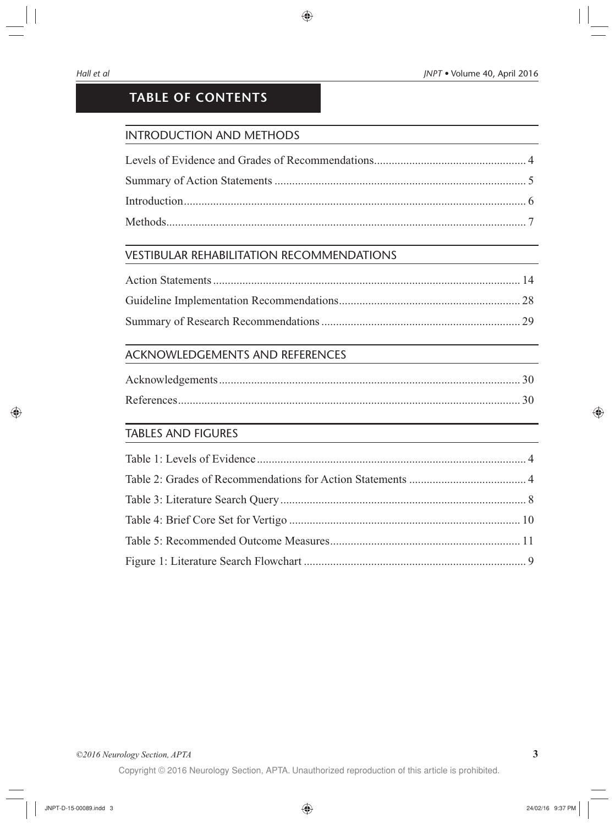## **TABLE OF CONTENTS**

## INTRODUCTION AND METHODS

## VESTIBULAR REHABILITATION RECOMMENDATIONS

### ACKNOWLEDGEMENTS AND REFERENCES

## TABLES AND FIGURES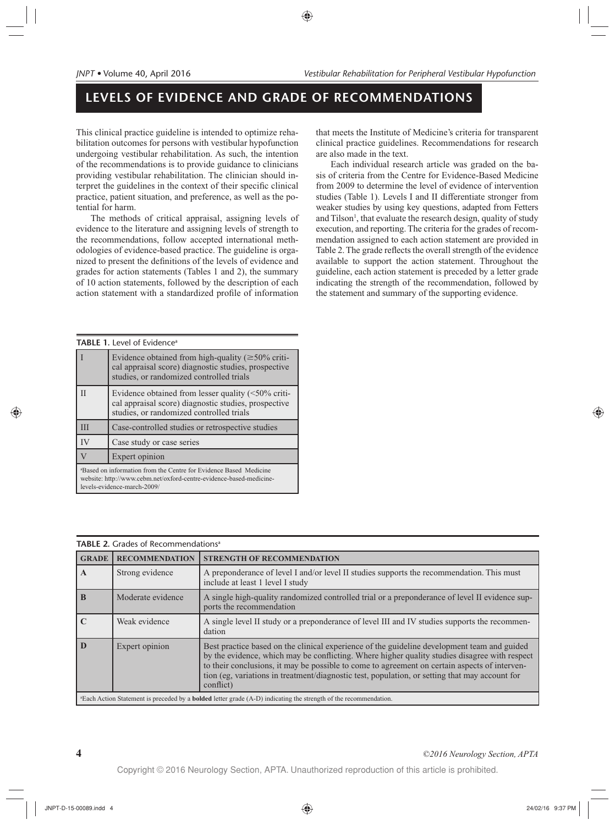## **LEVELS OF EVIDENCE AND GRADE OF RECOMMENDATIONS**

This clinical practice guideline is intended to optimize rehabilitation outcomes for persons with vestibular hypofunction undergoing vestibular rehabilitation. As such, the intention of the recommendations is to provide guidance to clinicians providing vestibular rehabilitation. The clinician should interpret the guidelines in the context of their specific clinical practice, patient situation, and preference, as well as the potential for harm.

The methods of critical appraisal, assigning levels of evidence to the literature and assigning levels of strength to the recommendations, follow accepted international methodologies of evidence-based practice. The guideline is organized to present the definitions of the levels of evidence and grades for action statements (Tables 1 and 2), the summary of 10 action statements, followed by the description of each action statement with a standardized profile of information

| <b>TABLE 1.</b> Level of Evidence <sup>a</sup>                                                                                                                                      |                                                                                                                                                              |  |
|-------------------------------------------------------------------------------------------------------------------------------------------------------------------------------------|--------------------------------------------------------------------------------------------------------------------------------------------------------------|--|
|                                                                                                                                                                                     | Evidence obtained from high-quality ( $\geq 50\%$ criti-<br>cal appraisal score) diagnostic studies, prospective<br>studies, or randomized controlled trials |  |
| н                                                                                                                                                                                   | Evidence obtained from lesser quality $(<50\%$ criti-<br>cal appraisal score) diagnostic studies, prospective<br>studies, or randomized controlled trials    |  |
| ΠI                                                                                                                                                                                  | Case-controlled studies or retrospective studies                                                                                                             |  |
| IV                                                                                                                                                                                  | Case study or case series                                                                                                                                    |  |
|                                                                                                                                                                                     | Expert opinion                                                                                                                                               |  |
| <sup>a</sup> Based on information from the Centre for Evidence Based Medicine<br>website: http://www.cebm.net/oxford-centre-evidence-based-medicine-<br>levels-evidence-march-2009/ |                                                                                                                                                              |  |

that meets the Institute of Medicine's criteria for transparent clinical practice guidelines. Recommendations for research are also made in the text.

Each individual research article was graded on the basis of criteria from the Centre for Evidence-Based Medicine from 2009 to determine the level of evidence of intervention studies (Table 1). Levels I and II differentiate stronger from weaker studies by using key questions, adapted from Fetters and Tilson<sup>1</sup>, that evaluate the research design, quality of study execution, and reporting. The criteria for the grades of recommendation assigned to each action statement are provided in Table 2. The grade reflects the overall strength of the evidence available to support the action statement. Throughout the guideline, each action statement is preceded by a letter grade indicating the strength of the recommendation, followed by the statement and summary of the supporting evidence.

| <b>TABLE 2.</b> Grades of Recommendations <sup>a</sup>                                                                                                                                                                                                                                                                                                                                                                         |                       |                                                                                                                               |  |
|--------------------------------------------------------------------------------------------------------------------------------------------------------------------------------------------------------------------------------------------------------------------------------------------------------------------------------------------------------------------------------------------------------------------------------|-----------------------|-------------------------------------------------------------------------------------------------------------------------------|--|
| <b>GRADE</b>                                                                                                                                                                                                                                                                                                                                                                                                                   | <b>RECOMMENDATION</b> | <b>STRENGTH OF RECOMMENDATION</b>                                                                                             |  |
| $\mathbf{A}$                                                                                                                                                                                                                                                                                                                                                                                                                   | Strong evidence       | A preponderance of level I and/or level II studies supports the recommendation. This must<br>include at least 1 level I study |  |
| <sub>B</sub>                                                                                                                                                                                                                                                                                                                                                                                                                   | Moderate evidence     | A single high-quality randomized controlled trial or a preponderance of level II evidence sup-<br>ports the recommendation    |  |
|                                                                                                                                                                                                                                                                                                                                                                                                                                | Weak evidence         | A single level II study or a preponderance of level III and IV studies supports the recommen-<br>dation                       |  |
| Expert opinion<br>Best practice based on the clinical experience of the guideline development team and guided<br>by the evidence, which may be conflicting. Where higher quality studies disagree with respect<br>to their conclusions, it may be possible to come to agreement on certain aspects of interven-<br>tion (eg, variations in treatment/diagnostic test, population, or setting that may account for<br>conflict) |                       |                                                                                                                               |  |
| a Each Action Statement is preceded by a <b>bolded</b> letter grade (A-D) indicating the strength of the recommendation.                                                                                                                                                                                                                                                                                                       |                       |                                                                                                                               |  |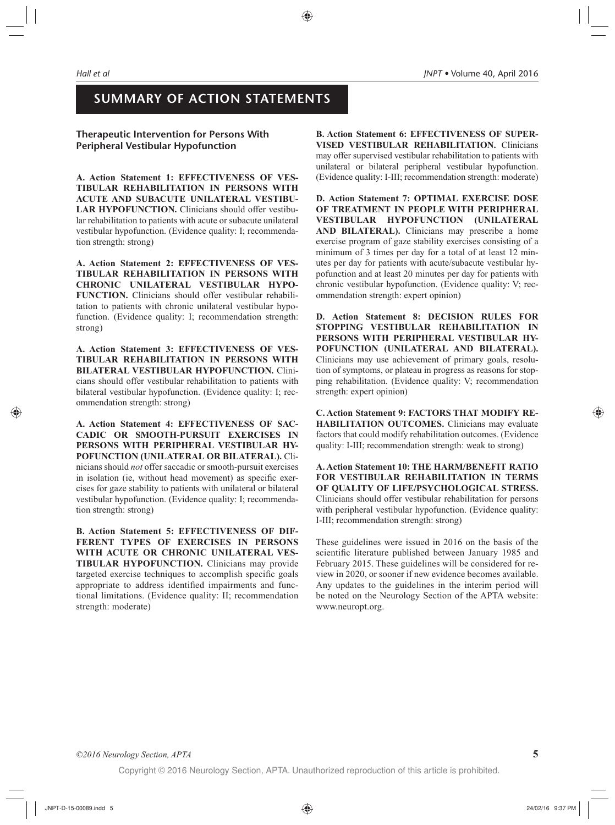## **SUMMARY OF ACTION STATEMENTS**

#### **Therapeutic Intervention for Persons With Peripheral Vestibular Hypofunction**

**A. Action Statement 1: EFFECTIVENESS OF VES-TIBULAR REHABILITATION IN PERSONS WITH ACUTE AND SUBACUTE UNILATERAL VESTIBU-LAR HYPOFUNCTION.** Clinicians should offer vestibular rehabilitation to patients with acute or subacute unilateral vestibular hypofunction. (Evidence quality: I; recommendation strength: strong)

**A. Action Statement 2: EFFECTIVENESS OF VES-TIBULAR REHABILITATION IN PERSONS WITH CHRONIC UNILATERAL VESTIBULAR HYPO-FUNCTION.** Clinicians should offer vestibular rehabilitation to patients with chronic unilateral vestibular hypofunction. (Evidence quality: I; recommendation strength: strong)

**A. Action Statement 3: EFFECTIVENESS OF VES-TIBULAR REHABILITATION IN PERSONS WITH BILATERAL VESTIBULAR HYPOFUNCTION.** Clinicians should offer vestibular rehabilitation to patients with bilateral vestibular hypofunction. (Evidence quality: I; recommendation strength: strong)

**A. Action Statement 4: EFFECTIVENESS OF SAC-CADIC OR SMOOTH-PURSUIT EXERCISES IN PERSONS WITH PERIPHERAL VESTIBULAR HY-POFUNCTION (UNILATERAL OR BILATERAL).** Clinicians should *not* offer saccadic or smooth-pursuit exercises in isolation (ie, without head movement) as specific exercises for gaze stability to patients with unilateral or bilateral vestibular hypofunction. (Evidence quality: I; recommendation strength: strong)

**B. Action Statement 5: EFFECTIVENESS OF DIF-FERENT TYPES OF EXERCISES IN PERSONS WITH ACUTE OR CHRONIC UNILATERAL VES-TIBULAR HYPOFUNCTION.** Clinicians may provide targeted exercise techniques to accomplish specific goals appropriate to address identified impairments and functional limitations. (Evidence quality: II; recommendation strength: moderate)

**B. Action Statement 6: EFFECTIVENESS OF SUPER-VISED VESTIBULAR REHABILITATION.** Clinicians may offer supervised vestibular rehabilitation to patients with unilateral or bilateral peripheral vestibular hypofunction. (Evidence quality: I-III; recommendation strength: moderate)

**D. Action Statement 7: OPTIMAL EXERCISE DOSE OF TREATMENT IN PEOPLE WITH PERIPHERAL VESTIBULAR HYPOFUNCTION (UNILATERAL AND BILATERAL).** Clinicians may prescribe a home exercise program of gaze stability exercises consisting of a minimum of 3 times per day for a total of at least 12 minutes per day for patients with acute/subacute vestibular hypofunction and at least 20 minutes per day for patients with chronic vestibular hypofunction. (Evidence quality: V; recommendation strength: expert opinion)

**D. Action Statement 8: DECISION RULES FOR STOPPING VESTIBULAR REHABILITATION IN PERSONS WITH PERIPHERAL VESTIBULAR HY-POFUNCTION (UNILATERAL AND BILATERAL).** Clinicians may use achievement of primary goals, resolution of symptoms, or plateau in progress as reasons for stopping rehabilitation. (Evidence quality: V; recommendation strength: expert opinion)

**C. Action Statement 9: FACTORS THAT MODIFY RE-HABILITATION OUTCOMES.** Clinicians may evaluate factors that could modify rehabilitation outcomes. (Evidence quality: I-III; recommendation strength: weak to strong)

**A. Action Statement 10: THE HARM/BENEFIT RATIO FOR VESTIBULAR REHABILITATION IN TERMS OF QUALITY OF LIFE/PSYCHOLOGICAL STRESS.** Clinicians should offer vestibular rehabilitation for persons with peripheral vestibular hypofunction. (Evidence quality: I-III; recommendation strength: strong)

These guidelines were issued in 2016 on the basis of the scientific literature published between January 1985 and February 2015. These guidelines will be considered for review in 2020, or sooner if new evidence becomes available. Any updates to the guidelines in the interim period will be noted on the Neurology Section of the APTA website: www.neuropt.org.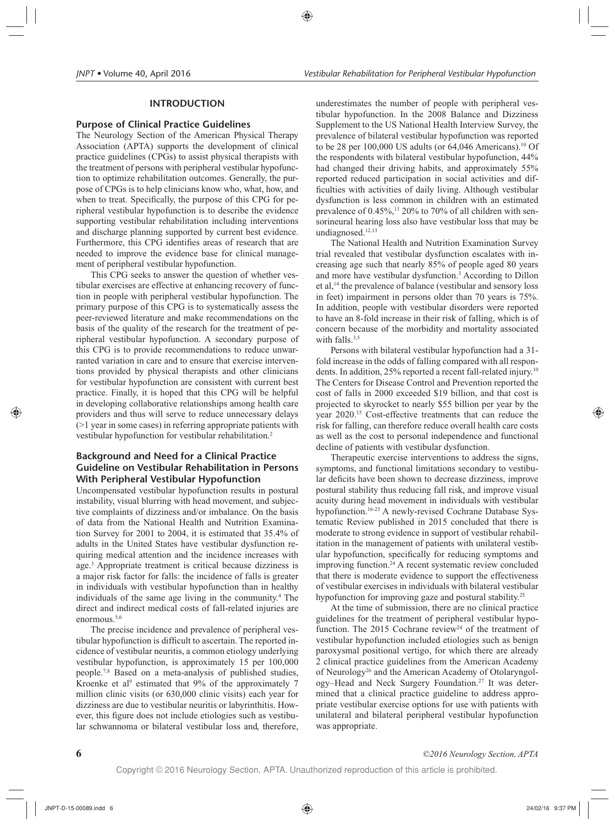#### **INTRODUCTION**

#### **Purpose of Clinical Practice Guidelines**

The Neurology Section of the American Physical Therapy Association (APTA) supports the development of clinical practice guidelines (CPGs) to assist physical therapists with the treatment of persons with peripheral vestibular hypofunction to optimize rehabilitation outcomes. Generally, the purpose of CPGs is to help clinicians know who, what, how, and when to treat. Specifically, the purpose of this CPG for peripheral vestibular hypofunction is to describe the evidence supporting vestibular rehabilitation including interventions and discharge planning supported by current best evidence. Furthermore, this CPG identifies areas of research that are needed to improve the evidence base for clinical management of peripheral vestibular hypofunction.

This CPG seeks to answer the question of whether vestibular exercises are effective at enhancing recovery of function in people with peripheral vestibular hypofunction. The primary purpose of this CPG is to systematically assess the peer-reviewed literature and make recommendations on the basis of the quality of the research for the treatment of peripheral vestibular hypofunction. A secondary purpose of this CPG is to provide recommendations to reduce unwarranted variation in care and to ensure that exercise interventions provided by physical therapists and other clinicians for vestibular hypofunction are consistent with current best practice. Finally, it is hoped that this CPG will be helpful in developing collaborative relationships among health care providers and thus will serve to reduce unnecessary delays (>1 year in some cases) in referring appropriate patients with vestibular hypofunction for vestibular rehabilitation.<sup>2</sup>

#### **Background and Need for a Clinical Practice Guideline on Vestibular Rehabilitation in Persons With Peripheral Vestibular Hypofunction**

Uncompensated vestibular hypofunction results in postural instability, visual blurring with head movement, and subjective complaints of dizziness and/or imbalance. On the basis of data from the National Health and Nutrition Examination Survey for 2001 to 2004, it is estimated that 35.4% of adults in the United States have vestibular dysfunction requiring medical attention and the incidence increases with age.<sup>3</sup> Appropriate treatment is critical because dizziness is a major risk factor for falls: the incidence of falls is greater in individuals with vestibular hypofunction than in healthy individuals of the same age living in the community.<sup>4</sup> The direct and indirect medical costs of fall-related injuries are enormous.<sup>5,6</sup>

The precise incidence and prevalence of peripheral vestibular hypofunction is difficult to ascertain. The reported incidence of vestibular neuritis, a common etiology underlying vestibular hypofunction, is approximately 15 per 100,000 people.7,8 Based on a meta-analysis of published studies, Kroenke et al<sup>9</sup> estimated that 9% of the approximately 7 million clinic visits (or 630,000 clinic visits) each year for dizziness are due to vestibular neuritis or labyrinthitis. However, this figure does not include etiologies such as vestibular schwannoma or bilateral vestibular loss and, therefore,

underestimates the number of people with peripheral vestibular hypofunction. In the 2008 Balance and Dizziness Supplement to the US National Health Interview Survey, the prevalence of bilateral vestibular hypofunction was reported to be 28 per 100,000 US adults (or 64,046 Americans).10 Of the respondents with bilateral vestibular hypofunction, 44% had changed their driving habits, and approximately 55% reported reduced participation in social activities and difficulties with activities of daily living. Although vestibular dysfunction is less common in children with an estimated prevalence of 0.45%,<sup>11</sup> 20% to 70% of all children with sensorineural hearing loss also have vestibular loss that may be undiagnosed.<sup>12,13</sup>

The National Health and Nutrition Examination Survey trial revealed that vestibular dysfunction escalates with increasing age such that nearly 85% of people aged 80 years and more have vestibular dysfunction.<sup>3</sup> According to Dillon et al,14 the prevalence of balance (vestibular and sensory loss in feet) impairment in persons older than 70 years is 75%. In addition, people with vestibular disorders were reported to have an 8-fold increase in their risk of falling, which is of concern because of the morbidity and mortality associated with falls.<sup>3,5</sup>

Persons with bilateral vestibular hypofunction had a 31 fold increase in the odds of falling compared with all respondents. In addition, 25% reported a recent fall-related injury.10 The Centers for Disease Control and Prevention reported the cost of falls in 2000 exceeded \$19 billion, and that cost is projected to skyrocket to nearly \$55 billion per year by the year 2020.15 Cost-effective treatments that can reduce the risk for falling, can therefore reduce overall health care costs as well as the cost to personal independence and functional decline of patients with vestibular dysfunction.

Therapeutic exercise interventions to address the signs, symptoms, and functional limitations secondary to vestibular deficits have been shown to decrease dizziness, improve postural stability thus reducing fall risk, and improve visual acuity during head movement in individuals with vestibular hypofunction.<sup>16-23</sup> A newly-revised Cochrane Database Systematic Review published in 2015 concluded that there is moderate to strong evidence in support of vestibular rehabilitation in the management of patients with unilateral vestibular hypofunction, specifically for reducing symptoms and improving function.24 A recent systematic review concluded that there is moderate evidence to support the effectiveness of vestibular exercises in individuals with bilateral vestibular hypofunction for improving gaze and postural stability.<sup>25</sup>

At the time of submission, there are no clinical practice guidelines for the treatment of peripheral vestibular hypofunction. The 2015 Cochrane review<sup>24</sup> of the treatment of vestibular hypofunction included etiologies such as benign paroxysmal positional vertigo, for which there are already 2 clinical practice guidelines from the American Academy of Neurology<sup>26</sup> and the American Academy of Otolaryngology–Head and Neck Surgery Foundation.<sup>27</sup> It was determined that a clinical practice guideline to address appropriate vestibular exercise options for use with patients with unilateral and bilateral peripheral vestibular hypofunction was appropriate.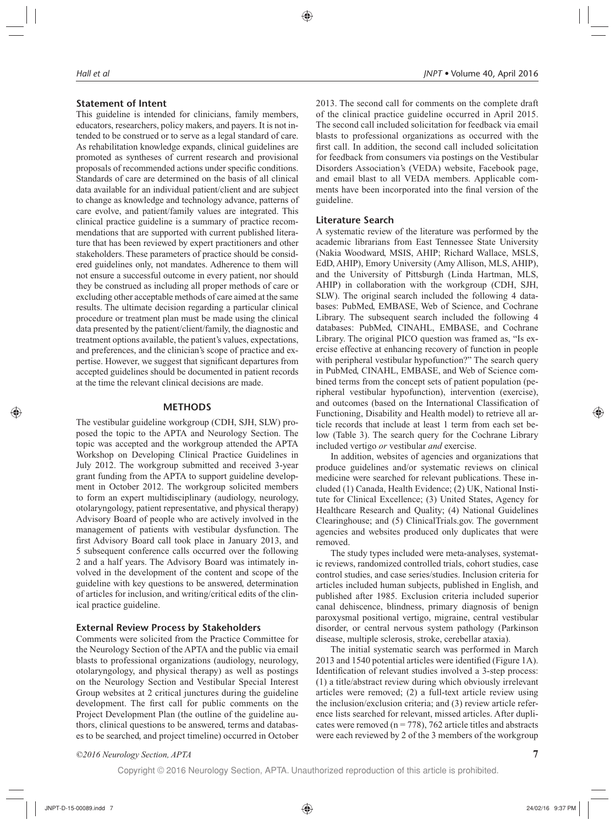#### **Statement of Intent**

This guideline is intended for clinicians, family members, educators, researchers, policy makers, and payers. It is not intended to be construed or to serve as a legal standard of care. As rehabilitation knowledge expands, clinical guidelines are promoted as syntheses of current research and provisional proposals of recommended actions under specific conditions. Standards of care are determined on the basis of all clinical data available for an individual patient/client and are subject to change as knowledge and technology advance, patterns of care evolve, and patient/family values are integrated. This clinical practice guideline is a summary of practice recommendations that are supported with current published literature that has been reviewed by expert practitioners and other stakeholders. These parameters of practice should be considered guidelines only, not mandates. Adherence to them will not ensure a successful outcome in every patient, nor should they be construed as including all proper methods of care or excluding other acceptable methods of care aimed at the same results. The ultimate decision regarding a particular clinical procedure or treatment plan must be made using the clinical data presented by the patient/client/family, the diagnostic and treatment options available, the patient's values, expectations, and preferences, and the clinician's scope of practice and expertise. However, we suggest that significant departures from accepted guidelines should be documented in patient records at the time the relevant clinical decisions are made.

#### **METHODS**

The vestibular guideline workgroup (CDH, SJH, SLW) proposed the topic to the APTA and Neurology Section. The topic was accepted and the workgroup attended the APTA Workshop on Developing Clinical Practice Guidelines in July 2012. The workgroup submitted and received 3-year grant funding from the APTA to support guideline development in October 2012. The workgroup solicited members to form an expert multidisciplinary (audiology, neurology, otolaryngology, patient representative, and physical therapy) Advisory Board of people who are actively involved in the management of patients with vestibular dysfunction. The first Advisory Board call took place in January 2013, and 5 subsequent conference calls occurred over the following 2 and a half years. The Advisory Board was intimately involved in the development of the content and scope of the guideline with key questions to be answered, determination of articles for inclusion, and writing/critical edits of the clinical practice guideline.

#### **External Review Process by Stakeholders**

Comments were solicited from the Practice Committee for the Neurology Section of the APTA and the public via email blasts to professional organizations (audiology, neurology, otolaryngology, and physical therapy) as well as postings on the Neurology Section and Vestibular Special Interest Group websites at 2 critical junctures during the guideline development. The first call for public comments on the Project Development Plan (the outline of the guideline authors, clinical questions to be answered, terms and databases to be searched, and project timeline) occurred in October 2013. The second call for comments on the complete draft of the clinical practice guideline occurred in April 2015. The second call included solicitation for feedback via email blasts to professional organizations as occurred with the first call. In addition, the second call included solicitation for feedback from consumers via postings on the Vestibular Disorders Association's (VEDA) website, Facebook page, and email blast to all VEDA members. Applicable comments have been incorporated into the final version of the guideline.

#### **Literature Search**

A systematic review of the literature was performed by the academic librarians from East Tennessee State University (Nakia Woodward, MSIS, AHIP; Richard Wallace, MSLS, EdD, AHIP), Emory University (Amy Allison, MLS, AHIP), and the University of Pittsburgh (Linda Hartman, MLS, AHIP) in collaboration with the workgroup (CDH, SJH, SLW). The original search included the following 4 databases: PubMed, EMBASE, Web of Science, and Cochrane Library. The subsequent search included the following 4 databases: PubMed, CINAHL, EMBASE, and Cochrane Library. The original PICO question was framed as, "Is exercise effective at enhancing recovery of function in people with peripheral vestibular hypofunction?" The search query in PubMed, CINAHL, EMBASE, and Web of Science combined terms from the concept sets of patient population (peripheral vestibular hypofunction), intervention (exercise), and outcomes (based on the International Classification of Functioning, Disability and Health model) to retrieve all article records that include at least 1 term from each set below (Table 3). The search query for the Cochrane Library included vertigo *or* vestibular *and* exercise.

In addition, websites of agencies and organizations that produce guidelines and/or systematic reviews on clinical medicine were searched for relevant publications. These included (1) Canada, Health Evidence; (2) UK, National Institute for Clinical Excellence; (3) United States, Agency for Healthcare Research and Quality; (4) National Guidelines Clearinghouse; and (5) ClinicalTrials.gov. The government agencies and websites produced only duplicates that were removed.

The study types included were meta-analyses, systematic reviews, randomized controlled trials, cohort studies, case control studies, and case series/studies. Inclusion criteria for articles included human subjects, published in English, and published after 1985. Exclusion criteria included superior canal dehiscence, blindness, primary diagnosis of benign paroxysmal positional vertigo, migraine, central vestibular disorder, or central nervous system pathology (Parkinson disease, multiple sclerosis, stroke, cerebellar ataxia).

The initial systematic search was performed in March 2013 and 1540 potential articles were identified (Figure 1A). Identification of relevant studies involved a 3-step process: (1) a title/abstract review during which obviously irrelevant articles were removed; (2) a full-text article review using the inclusion/exclusion criteria; and (3) review article reference lists searched for relevant, missed articles. After duplicates were removed ( $n = 778$ ), 762 article titles and abstracts were each reviewed by 2 of the 3 members of the workgroup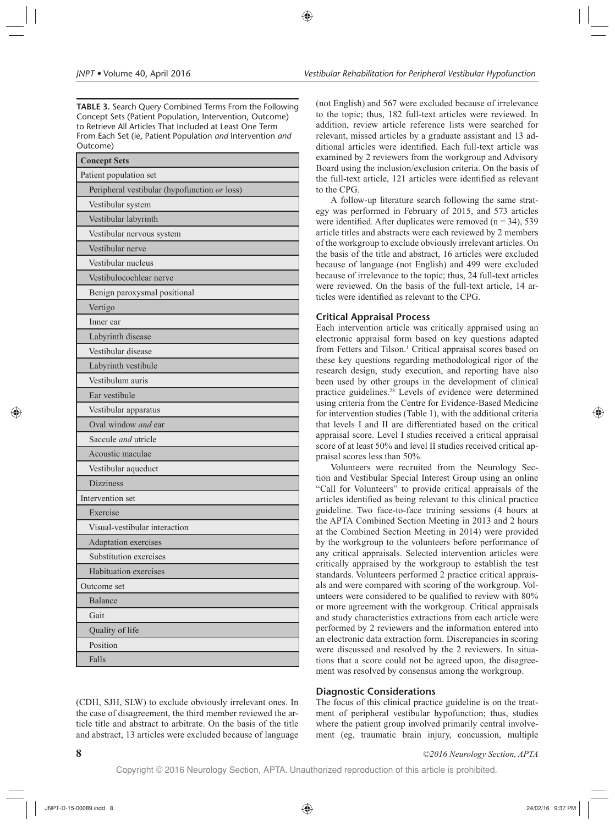**TABLE 3.** Search Query Combined Terms From the Following Concept Sets (Patient Population, Intervention, Outcome) to Retrieve All Articles That Included at Least One Term From Each Set (ie, Patient Population *and* Intervention *and* Outcome)

| <b>Concept Sets</b>                          |
|----------------------------------------------|
| Patient population set                       |
| Peripheral vestibular (hypofunction or loss) |
| Vestibular system                            |
| Vestibular labyrinth                         |
| Vestibular nervous system                    |
| Vestibular nerve                             |
| Vestibular nucleus                           |
| Vestibulocochlear nerve                      |
| Benign paroxysmal positional                 |
| Vertigo                                      |
| Inner ear                                    |
| Labyrinth disease                            |
| Vestibular disease                           |
| Labyrinth vestibule                          |
| Vestibulum auris                             |
| Ear vestibule                                |
| Vestibular apparatus                         |
| Oval window and ear                          |
| Saccule <i>and</i> utricle                   |
| Acoustic maculae                             |
| Vestibular aqueduct                          |
| <b>Dizziness</b>                             |
| Intervention set                             |
| Exercise                                     |
| Visual-vestibular interaction                |
| <b>Adaptation exercises</b>                  |
| Substitution exercises                       |
| <b>Habituation</b> exercises                 |
| Outcome set                                  |
| <b>Balance</b>                               |
| Gait                                         |
| Quality of life                              |
| Position                                     |
| Falls                                        |

(CDH, SJH, SLW) to exclude obviously irrelevant ones. In the case of disagreement, the third member reviewed the article title and abstract to arbitrate. On the basis of the title and abstract, 13 articles were excluded because of language

(not English) and 567 were excluded because of irrelevance to the topic; thus, 182 full-text articles were reviewed. In addition, review article reference lists were searched for relevant, missed articles by a graduate assistant and 13 additional articles were identified. Each full-text article was examined by 2 reviewers from the workgroup and Advisory Board using the inclusion/exclusion criteria. On the basis of the full-text article, 121 articles were identified as relevant to the CPG.

A follow-up literature search following the same strategy was performed in February of 2015, and 573 articles were identified. After duplicates were removed  $(n = 34)$ , 539 article titles and abstracts were each reviewed by 2 members of the workgroup to exclude obviously irrelevant articles. On the basis of the title and abstract, 16 articles were excluded because of language (not English) and 499 were excluded because of irrelevance to the topic; thus, 24 full-text articles were reviewed. On the basis of the full-text article, 14 articles were identified as relevant to the CPG.

#### **Critical Appraisal Process**

Each intervention article was critically appraised using an electronic appraisal form based on key questions adapted from Fetters and Tilson.<sup>1</sup> Critical appraisal scores based on these key questions regarding methodological rigor of the research design, study execution, and reporting have also been used by other groups in the development of clinical practice guidelines.28 Levels of evidence were determined using criteria from the Centre for Evidence-Based Medicine for intervention studies (Table 1), with the additional criteria that levels I and II are differentiated based on the critical appraisal score. Level I studies received a critical appraisal score of at least 50% and level II studies received critical appraisal scores less than 50%.

Volunteers were recruited from the Neurology Section and Vestibular Special Interest Group using an online "Call for Volunteers" to provide critical appraisals of the articles identified as being relevant to this clinical practice guideline. Two face-to-face training sessions (4 hours at the APTA Combined Section Meeting in 2013 and 2 hours at the Combined Section Meeting in 2014) were provided by the workgroup to the volunteers before performance of any critical appraisals. Selected intervention articles were critically appraised by the workgroup to establish the test standards. Volunteers performed 2 practice critical appraisals and were compared with scoring of the workgroup. Volunteers were considered to be qualified to review with 80% or more agreement with the workgroup. Critical appraisals and study characteristics extractions from each article were performed by 2 reviewers and the information entered into an electronic data extraction form. Discrepancies in scoring were discussed and resolved by the 2 reviewers. In situations that a score could not be agreed upon, the disagreement was resolved by consensus among the workgroup.

#### **Diagnostic Considerations**

The focus of this clinical practice guideline is on the treatment of peripheral vestibular hypofunction; thus, studies where the patient group involved primarily central involvement (eg, traumatic brain injury, concussion, multiple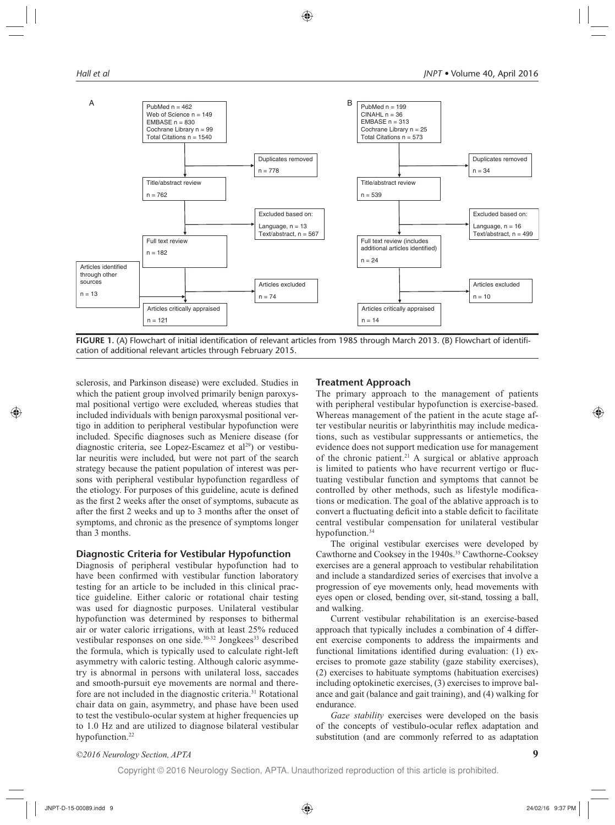

FIGURE 1. (A) Flowchart of initial identification of relevant articles from 1985 through March 2013. (B) Flowchart of identification of additional relevant articles through February 2015.

sclerosis, and Parkinson disease) were excluded. Studies in which the patient group involved primarily benign paroxysmal positional vertigo were excluded, whereas studies that included individuals with benign paroxysmal positional vertigo in addition to peripheral vestibular hypofunction were included. Specific diagnoses such as Meniere disease (for diagnostic criteria, see Lopez-Escamez et  $al^{29}$  or vestibular neuritis were included, but were not part of the search strategy because the patient population of interest was persons with peripheral vestibular hypofunction regardless of the etiology. For purposes of this guideline, acute is defined as the first 2 weeks after the onset of symptoms, subacute as after the first 2 weeks and up to 3 months after the onset of symptoms, and chronic as the presence of symptoms longer than 3 months.

#### **Diagnostic Criteria for Vestibular Hypofunction**

Diagnosis of peripheral vestibular hypofunction had to have been confirmed with vestibular function laboratory testing for an article to be included in this clinical practice guideline. Either caloric or rotational chair testing was used for diagnostic purposes. Unilateral vestibular hypofunction was determined by responses to bithermal air or water caloric irrigations, with at least 25% reduced vestibular responses on one side.<sup>30-32</sup> Jongkees<sup>33</sup> described the formula, which is typically used to calculate right-left asymmetry with caloric testing. Although caloric asymmetry is abnormal in persons with unilateral loss, saccades and smooth-pursuit eye movements are normal and therefore are not included in the diagnostic criteria.<sup>31</sup> Rotational chair data on gain, asymmetry, and phase have been used to test the vestibulo-ocular system at higher frequencies up to 1.0 Hz and are utilized to diagnose bilateral vestibular hypofunction.<sup>22</sup>

#### **Treatment Approach**

The primary approach to the management of patients with peripheral vestibular hypofunction is exercise-based. Whereas management of the patient in the acute stage after vestibular neuritis or labyrinthitis may include medications, such as vestibular suppressants or antiemetics, the evidence does not support medication use for management of the chronic patient.<sup>21</sup> A surgical or ablative approach is limited to patients who have recurrent vertigo or fluctuating vestibular function and symptoms that cannot be controlled by other methods, such as lifestyle modifications or medication. The goal of the ablative approach is to convert a fluctuating deficit into a stable deficit to facilitate central vestibular compensation for unilateral vestibular hypofunction.<sup>34</sup>

The original vestibular exercises were developed by Cawthorne and Cooksey in the 1940s.<sup>35</sup> Cawthorne-Cooksey exercises are a general approach to vestibular rehabilitation and include a standardized series of exercises that involve a progression of eye movements only, head movements with eyes open or closed, bending over, sit-stand, tossing a ball, and walking.

Current vestibular rehabilitation is an exercise-based approach that typically includes a combination of 4 different exercise components to address the impairments and functional limitations identified during evaluation:  $(1)$  exercises to promote gaze stability (gaze stability exercises), (2) exercises to habituate symptoms (habituation exercises) including optokinetic exercises, (3) exercises to improve balance and gait (balance and gait training), and (4) walking for endurance.

*Gaze stability* exercises were developed on the basis of the concepts of vestibulo-ocular reflex adaptation and substitution (and are commonly referred to as adaptation

#### *©2016 Neurology Section, APTA* **9**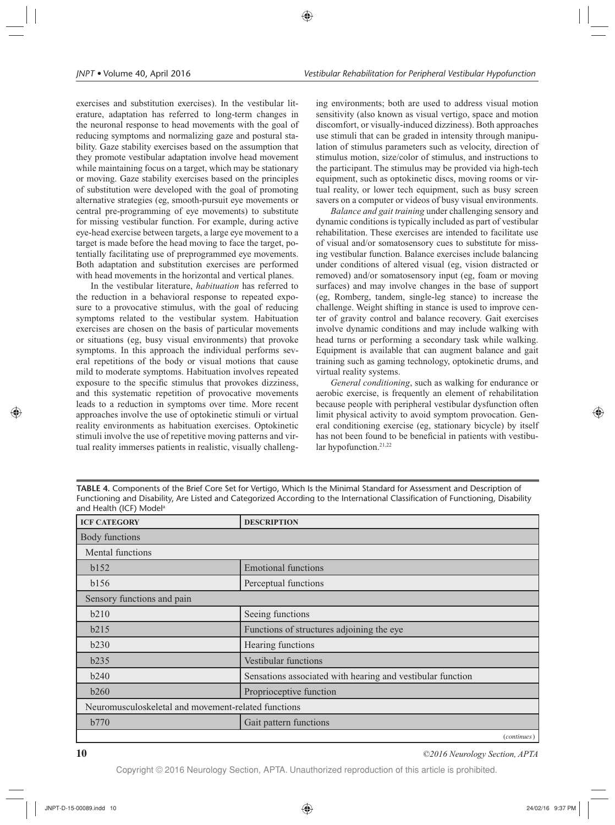exercises and substitution exercises). In the vestibular literature, adaptation has referred to long-term changes in the neuronal response to head movements with the goal of reducing symptoms and normalizing gaze and postural stability. Gaze stability exercises based on the assumption that they promote vestibular adaptation involve head movement while maintaining focus on a target, which may be stationary or moving. Gaze stability exercises based on the principles of substitution were developed with the goal of promoting alternative strategies (eg, smooth-pursuit eye movements or central pre-programming of eye movements) to substitute for missing vestibular function. For example, during active eye-head exercise between targets, a large eye movement to a target is made before the head moving to face the target, potentially facilitating use of preprogrammed eye movements. Both adaptation and substitution exercises are performed with head movements in the horizontal and vertical planes.

In the vestibular literature, *habituation* has referred to the reduction in a behavioral response to repeated exposure to a provocative stimulus, with the goal of reducing symptoms related to the vestibular system. Habituation exercises are chosen on the basis of particular movements or situations (eg, busy visual environments) that provoke symptoms. In this approach the individual performs several repetitions of the body or visual motions that cause mild to moderate symptoms. Habituation involves repeated exposure to the specific stimulus that provokes dizziness, and this systematic repetition of provocative movements leads to a reduction in symptoms over time. More recent approaches involve the use of optokinetic stimuli or virtual reality environments as habituation exercises. Optokinetic stimuli involve the use of repetitive moving patterns and virtual reality immerses patients in realistic, visually challenging environments; both are used to address visual motion sensitivity (also known as visual vertigo, space and motion discomfort, or visually-induced dizziness). Both approaches use stimuli that can be graded in intensity through manipulation of stimulus parameters such as velocity, direction of stimulus motion, size/color of stimulus, and instructions to the participant. The stimulus may be provided via high-tech equipment, such as optokinetic discs, moving rooms or virtual reality, or lower tech equipment, such as busy screen savers on a computer or videos of busy visual environments.

*Balance and gait training* under challenging sensory and dynamic conditions is typically included as part of vestibular rehabilitation. These exercises are intended to facilitate use of visual and/or somatosensory cues to substitute for missing vestibular function. Balance exercises include balancing under conditions of altered visual (eg, vision distracted or removed) and/or somatosensory input (eg, foam or moving surfaces) and may involve changes in the base of support (eg, Romberg, tandem, single-leg stance) to increase the challenge. Weight shifting in stance is used to improve center of gravity control and balance recovery. Gait exercises involve dynamic conditions and may include walking with head turns or performing a secondary task while walking. Equipment is available that can augment balance and gait training such as gaming technology, optokinetic drums, and virtual reality systems.

*General conditioning*, such as walking for endurance or aerobic exercise, is frequently an element of rehabilitation because people with peripheral vestibular dysfunction often limit physical activity to avoid symptom provocation. General conditioning exercise (eg, stationary bicycle) by itself has not been found to be beneficial in patients with vestibular hypofunction.<sup>21,22</sup>

**TABLE 4.** Components of the Brief Core Set for Vertigo, Which Is the Minimal Standard for Assessment and Description of Functioning and Disability, Are Listed and Categorized According to the International Classification of Functioning, Disability and Health (ICF) Model<sup>a</sup>

| <b>ICF CATEGORY</b>                                 | <b>DESCRIPTION</b>                                         |  |
|-----------------------------------------------------|------------------------------------------------------------|--|
| Body functions                                      |                                                            |  |
| Mental functions                                    |                                                            |  |
| b152                                                | <b>Emotional functions</b>                                 |  |
| b156                                                | Perceptual functions                                       |  |
| Sensory functions and pain                          |                                                            |  |
| b210                                                | Seeing functions                                           |  |
| b215                                                | Functions of structures adjoining the eye                  |  |
| b230                                                | Hearing functions                                          |  |
| b235                                                | Vestibular functions                                       |  |
| b240                                                | Sensations associated with hearing and vestibular function |  |
| <b>b260</b>                                         | Proprioceptive function                                    |  |
| Neuromusculoskeletal and movement-related functions |                                                            |  |
| <b>b</b> 770                                        | Gait pattern functions                                     |  |
|                                                     | (continues)                                                |  |

**10** *©2016 Neurology Section, APTA*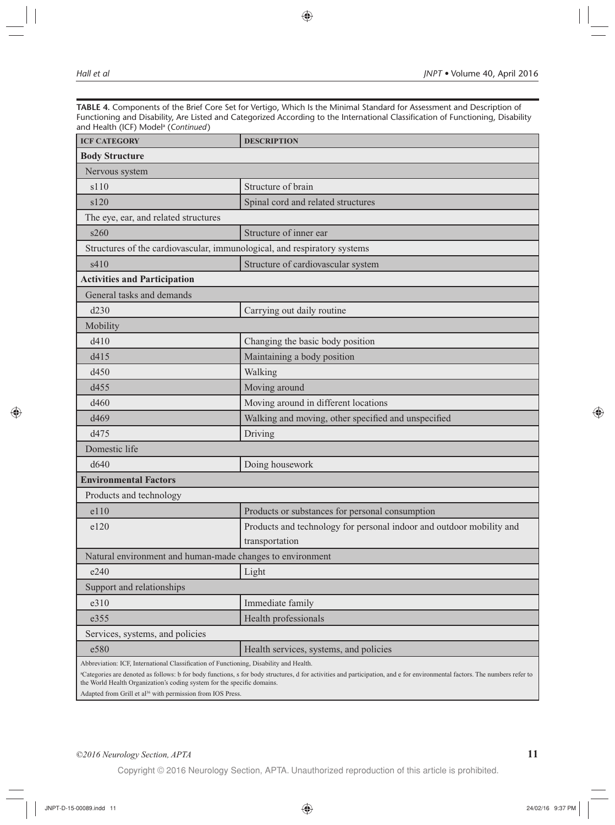**TABLE 4.** Components of the Brief Core Set for Vertigo, Which Is the Minimal Standard for Assessment and Description of Functioning and Disability, Are Listed and Categorized According to the International Classification of Functioning, Disability and Health (ICF) Modela (*Continued* )

| <b>ICF CATEGORY</b>                                                                                                                                               | <b>DESCRIPTION</b>                                                                                                                                                         |  |  |
|-------------------------------------------------------------------------------------------------------------------------------------------------------------------|----------------------------------------------------------------------------------------------------------------------------------------------------------------------------|--|--|
| <b>Body Structure</b>                                                                                                                                             |                                                                                                                                                                            |  |  |
| Nervous system                                                                                                                                                    |                                                                                                                                                                            |  |  |
| s110                                                                                                                                                              | Structure of brain                                                                                                                                                         |  |  |
| s120                                                                                                                                                              | Spinal cord and related structures                                                                                                                                         |  |  |
| The eye, ear, and related structures                                                                                                                              |                                                                                                                                                                            |  |  |
| Structure of inner ear<br>s260                                                                                                                                    |                                                                                                                                                                            |  |  |
| Structures of the cardiovascular, immunological, and respiratory systems                                                                                          |                                                                                                                                                                            |  |  |
| s410                                                                                                                                                              | Structure of cardiovascular system                                                                                                                                         |  |  |
| <b>Activities and Participation</b>                                                                                                                               |                                                                                                                                                                            |  |  |
| General tasks and demands                                                                                                                                         |                                                                                                                                                                            |  |  |
| d230                                                                                                                                                              | Carrying out daily routine                                                                                                                                                 |  |  |
| Mobility                                                                                                                                                          |                                                                                                                                                                            |  |  |
| d410                                                                                                                                                              | Changing the basic body position                                                                                                                                           |  |  |
| d415                                                                                                                                                              | Maintaining a body position                                                                                                                                                |  |  |
| d450                                                                                                                                                              | Walking                                                                                                                                                                    |  |  |
| d455                                                                                                                                                              | Moving around                                                                                                                                                              |  |  |
| d460                                                                                                                                                              | Moving around in different locations                                                                                                                                       |  |  |
| d469                                                                                                                                                              | Walking and moving, other specified and unspecified                                                                                                                        |  |  |
| d475                                                                                                                                                              | Driving                                                                                                                                                                    |  |  |
| Domestic life                                                                                                                                                     |                                                                                                                                                                            |  |  |
| d640<br>Doing housework                                                                                                                                           |                                                                                                                                                                            |  |  |
| <b>Environmental Factors</b>                                                                                                                                      |                                                                                                                                                                            |  |  |
| Products and technology                                                                                                                                           |                                                                                                                                                                            |  |  |
| e110                                                                                                                                                              | Products or substances for personal consumption                                                                                                                            |  |  |
| e120                                                                                                                                                              | Products and technology for personal indoor and outdoor mobility and                                                                                                       |  |  |
|                                                                                                                                                                   | transportation                                                                                                                                                             |  |  |
| Natural environment and human-made changes to environment                                                                                                         |                                                                                                                                                                            |  |  |
| e240                                                                                                                                                              | Light                                                                                                                                                                      |  |  |
| Support and relationships                                                                                                                                         |                                                                                                                                                                            |  |  |
| e310                                                                                                                                                              | Immediate family                                                                                                                                                           |  |  |
| e355                                                                                                                                                              | Health professionals                                                                                                                                                       |  |  |
| Services, systems, and policies                                                                                                                                   |                                                                                                                                                                            |  |  |
| e580                                                                                                                                                              | Health services, systems, and policies                                                                                                                                     |  |  |
| Abbreviation: ICF, International Classification of Functioning, Disability and Health.<br>the World Health Organization's coding system for the specific domains. | "Categories are denoted as follows: b for body functions, s for body structures, d for activities and participation, and e for environmental factors. The numbers refer to |  |  |

Adapted from Grill et al<sup>36</sup> with permission from IOS Press.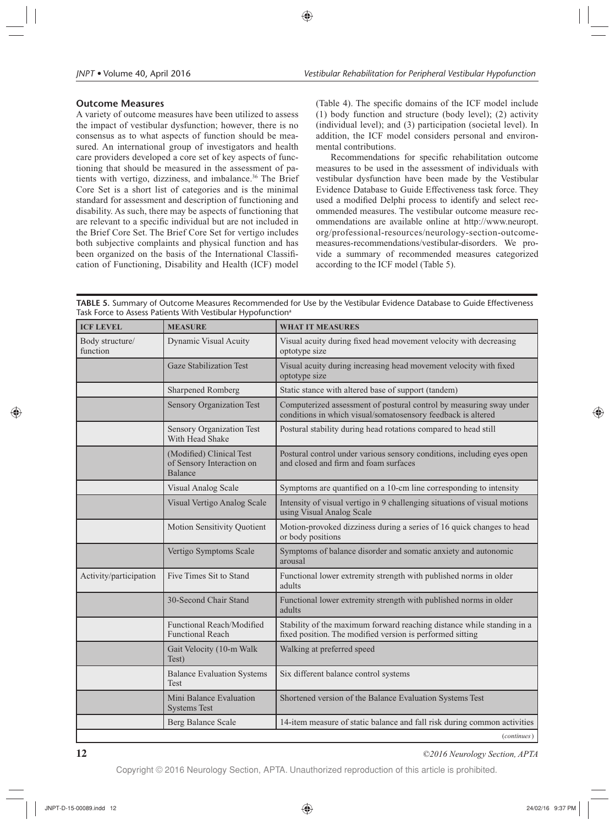#### **Outcome Measures**

A variety of outcome measures have been utilized to assess the impact of vestibular dysfunction; however, there is no consensus as to what aspects of function should be measured. An international group of investigators and health care providers developed a core set of key aspects of functioning that should be measured in the assessment of patients with vertigo, dizziness, and imbalance.<sup>36</sup> The Brief Core Set is a short list of categories and is the minimal standard for assessment and description of functioning and disability. As such, there may be aspects of functioning that are relevant to a specific individual but are not included in the Brief Core Set. The Brief Core Set for vertigo includes both subjective complaints and physical function and has been organized on the basis of the International Classification of Functioning, Disability and Health (ICF) model (Table 4). The specific domains of the ICF model include (1) body function and structure (body level); (2) activity (individual level); and (3) participation (societal level). In addition, the ICF model considers personal and environmental contributions.

Recommendations for specific rehabilitation outcome measures to be used in the assessment of individuals with vestibular dysfunction have been made by the Vestibular Evidence Database to Guide Effectiveness task force. They used a modified Delphi process to identify and select recommended measures. The vestibular outcome measure recommendations are available online at http://www.neuropt. org/professional-resources/neurology-section-outcomemeasures-recommendations/vestibular-disorders. We provide a summary of recommended measures categorized according to the ICF model (Table 5).

**TABLE 5.** Summary of Outcome Measures Recommended for Use by the Vestibular Evidence Database to Guide Effectiveness Task Force to Assess Patients With Vestibular Hypofunction<sup>a</sup>

| <b>ICF LEVEL</b>            | <b>MEASURE</b>                                                          | <b>WHAT IT MEASURES</b>                                                                                                             |
|-----------------------------|-------------------------------------------------------------------------|-------------------------------------------------------------------------------------------------------------------------------------|
| Body structure/<br>function | <b>Dynamic Visual Acuity</b>                                            | Visual acuity during fixed head movement velocity with decreasing<br>optotype size                                                  |
|                             | <b>Gaze Stabilization Test</b>                                          | Visual acuity during increasing head movement velocity with fixed<br>optotype size                                                  |
|                             | Sharpened Romberg                                                       | Static stance with altered base of support (tandem)                                                                                 |
|                             | <b>Sensory Organization Test</b>                                        | Computerized assessment of postural control by measuring sway under<br>conditions in which visual/somatosensory feedback is altered |
|                             | <b>Sensory Organization Test</b><br>With Head Shake                     | Postural stability during head rotations compared to head still                                                                     |
|                             | (Modified) Clinical Test<br>of Sensory Interaction on<br><b>Balance</b> | Postural control under various sensory conditions, including eyes open<br>and closed and firm and foam surfaces                     |
|                             | Visual Analog Scale                                                     | Symptoms are quantified on a 10-cm line corresponding to intensity                                                                  |
|                             | Visual Vertigo Analog Scale                                             | Intensity of visual vertigo in 9 challenging situations of visual motions<br>using Visual Analog Scale                              |
|                             | Motion Sensitivity Quotient                                             | Motion-provoked dizziness during a series of 16 quick changes to head<br>or body positions                                          |
|                             | Vertigo Symptoms Scale                                                  | Symptoms of balance disorder and somatic anxiety and autonomic<br>arousal                                                           |
| Activity/participation      | Five Times Sit to Stand                                                 | Functional lower extremity strength with published norms in older<br>adults                                                         |
|                             | 30-Second Chair Stand                                                   | Functional lower extremity strength with published norms in older<br>adults                                                         |
|                             | Functional Reach/Modified<br><b>Functional Reach</b>                    | Stability of the maximum forward reaching distance while standing in a<br>fixed position. The modified version is performed sitting |
|                             | Gait Velocity (10-m Walk<br>Test)                                       | Walking at preferred speed                                                                                                          |
|                             | <b>Balance Evaluation Systems</b><br><b>Test</b>                        | Six different balance control systems                                                                                               |
|                             | Mini Balance Evaluation<br><b>Systems Test</b>                          | Shortened version of the Balance Evaluation Systems Test                                                                            |
|                             | Berg Balance Scale                                                      | 14-item measure of static balance and fall risk during common activities                                                            |
|                             |                                                                         | <i>(continues)</i>                                                                                                                  |

**12** *©2016 Neurology Section, APTA*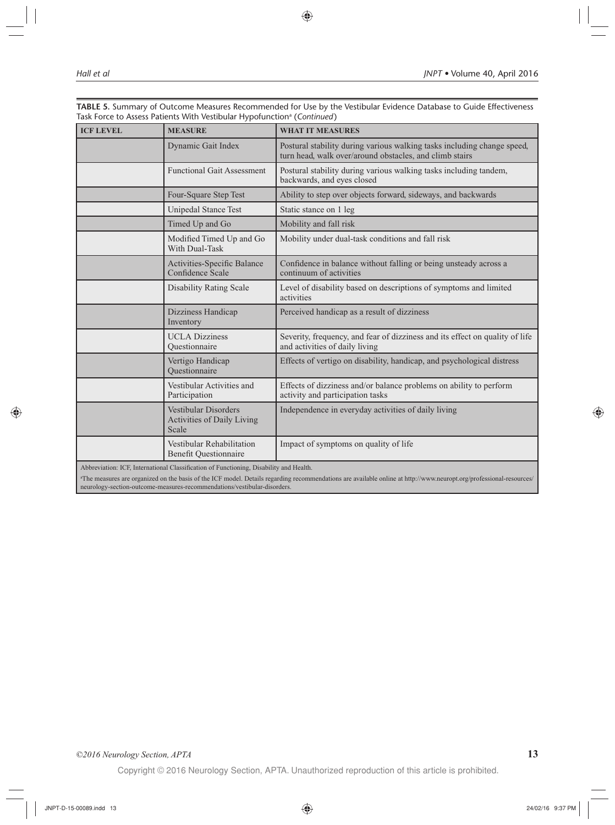| <b>ICF LEVEL</b>                                                                       | <b>MEASURE</b>                                              | <b>WHAT IT MEASURES</b>                                                                                                            |
|----------------------------------------------------------------------------------------|-------------------------------------------------------------|------------------------------------------------------------------------------------------------------------------------------------|
|                                                                                        | Dynamic Gait Index                                          | Postural stability during various walking tasks including change speed,<br>turn head, walk over/around obstacles, and climb stairs |
|                                                                                        | <b>Functional Gait Assessment</b>                           | Postural stability during various walking tasks including tandem,<br>backwards, and eyes closed                                    |
|                                                                                        | Four-Square Step Test                                       | Ability to step over objects forward, sideways, and backwards                                                                      |
|                                                                                        | Unipedal Stance Test                                        | Static stance on 1 leg                                                                                                             |
|                                                                                        | Timed Up and Go                                             | Mobility and fall risk                                                                                                             |
|                                                                                        | Modified Timed Up and Go<br>With Dual-Task                  | Mobility under dual-task conditions and fall risk                                                                                  |
|                                                                                        | Activities-Specific Balance<br>Confidence Scale             | Confidence in balance without falling or being unsteady across a<br>continuum of activities                                        |
|                                                                                        | <b>Disability Rating Scale</b>                              | Level of disability based on descriptions of symptoms and limited<br>activities                                                    |
|                                                                                        | Dizziness Handicap<br>Inventory                             | Perceived handicap as a result of dizziness                                                                                        |
|                                                                                        | <b>UCLA</b> Dizziness<br>Questionnaire                      | Severity, frequency, and fear of dizziness and its effect on quality of life<br>and activities of daily living                     |
|                                                                                        | Vertigo Handicap<br>Questionnaire                           | Effects of vertigo on disability, handicap, and psychological distress                                                             |
|                                                                                        | Vestibular Activities and<br>Participation                  | Effects of dizziness and/or balance problems on ability to perform<br>activity and participation tasks                             |
|                                                                                        | Vestibular Disorders<br>Activities of Daily Living<br>Scale | Independence in everyday activities of daily living                                                                                |
|                                                                                        | Vestibular Rehabilitation<br><b>Benefit Questionnaire</b>   | Impact of symptoms on quality of life                                                                                              |
| Abbreviation: ICF, International Classification of Functioning, Disability and Health. |                                                             |                                                                                                                                    |

**TABLE 5.** Summary of Outcome Measures Recommended for Use by the Vestibular Evidence Database to Guide Effectiveness Task Force to Assess Patients With Vestibular Hypofunction<sup>a</sup> (Continued)

a The measures are organized on the basis of the ICF model. Details regarding recommendations are available online at http://www.neuropt.org/professional-resources/ neurology-section-outcome-measures-recommendations/vestibular-disorders.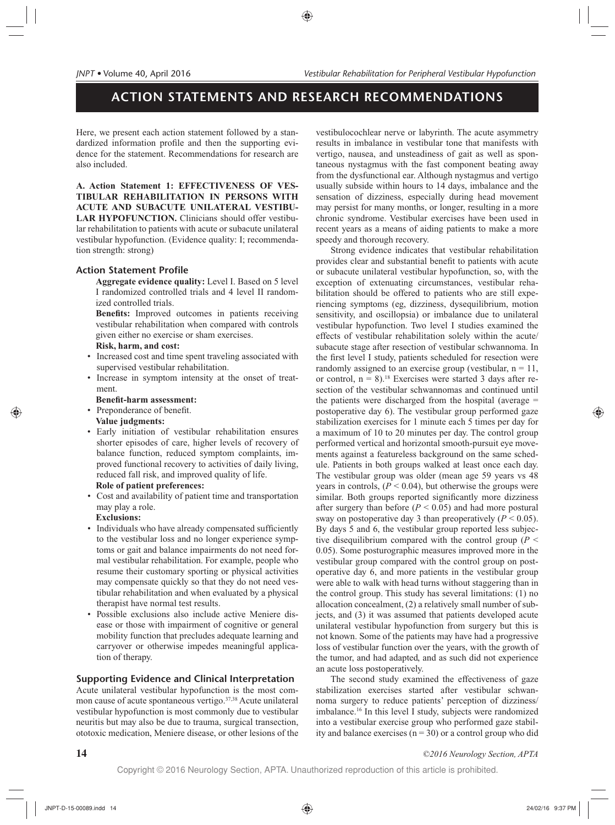## **ACTION STATEMENTS AND RESEARCH RECOMMENDATIONS**

Here, we present each action statement followed by a standardized information profile and then the supporting evidence for the statement. Recommendations for research are also included.

**A. Action Statement 1: EFFECTIVENESS OF VES-TIBULAR REHABILITATION IN PERSONS WITH ACUTE AND SUBACUTE UNILATERAL VESTIBU-LAR HYPOFUNCTION.** Clinicians should offer vestibular rehabilitation to patients with acute or subacute unilateral vestibular hypofunction. (Evidence quality: I; recommendation strength: strong)

#### **Action Statement Profile**

**Aggregate evidence quality:** Level I. Based on 5 level I randomized controlled trials and 4 level II randomized controlled trials.

**Benefits:** Improved outcomes in patients receiving vestibular rehabilitation when compared with controls given either no exercise or sham exercises.

#### **Risk, harm, and cost:**

- Increased cost and time spent traveling associated with supervised vestibular rehabilitation.
- Increase in symptom intensity at the onset of treatment.

#### **Benefit-harm assessment:**

- Preponderance of benefit.
- **Value judgments:**
- Early initiation of vestibular rehabilitation ensures shorter episodes of care, higher levels of recovery of balance function, reduced symptom complaints, improved functional recovery to activities of daily living, reduced fall risk, and improved quality of life.
- **Role of patient preferences:** • Cost and availability of patient time and transportation
	- may play a role.

#### **Exclusions:**

- Individuals who have already compensated sufficiently to the vestibular loss and no longer experience symptoms or gait and balance impairments do not need formal vestibular rehabilitation. For example, people who resume their customary sporting or physical activities may compensate quickly so that they do not need vestibular rehabilitation and when evaluated by a physical therapist have normal test results.
- Possible exclusions also include active Meniere disease or those with impairment of cognitive or general mobility function that precludes adequate learning and carryover or otherwise impedes meaningful application of therapy.

#### **Supporting Evidence and Clinical Interpretation**

Acute unilateral vestibular hypofunction is the most common cause of acute spontaneous vertigo.37,38 Acute unilateral vestibular hypofunction is most commonly due to vestibular neuritis but may also be due to trauma, surgical transection, ototoxic medication, Meniere disease, or other lesions of the vestibulocochlear nerve or labyrinth. The acute asymmetry results in imbalance in vestibular tone that manifests with vertigo, nausea, and unsteadiness of gait as well as spontaneous nystagmus with the fast component beating away from the dysfunctional ear. Although nystagmus and vertigo usually subside within hours to 14 days, imbalance and the sensation of dizziness, especially during head movement may persist for many months, or longer, resulting in a more chronic syndrome. Vestibular exercises have been used in recent years as a means of aiding patients to make a more speedy and thorough recovery.

Strong evidence indicates that vestibular rehabilitation provides clear and substantial benefit to patients with acute or subacute unilateral vestibular hypofunction, so, with the exception of extenuating circumstances, vestibular rehabilitation should be offered to patients who are still experiencing symptoms (eg, dizziness, dysequilibrium, motion sensitivity, and oscillopsia) or imbalance due to unilateral vestibular hypofunction. Two level I studies examined the effects of vestibular rehabilitation solely within the acute/ subacute stage after resection of vestibular schwannoma. In the first level I study, patients scheduled for resection were randomly assigned to an exercise group (vestibular,  $n = 11$ , or control,  $n = 8$ ).<sup>18</sup> Exercises were started 3 days after resection of the vestibular schwannomas and continued until the patients were discharged from the hospital (average = postoperative day 6). The vestibular group performed gaze stabilization exercises for 1 minute each 5 times per day for a maximum of 10 to 20 minutes per day. The control group performed vertical and horizontal smooth-pursuit eye movements against a featureless background on the same schedule. Patients in both groups walked at least once each day. The vestibular group was older (mean age 59 years vs 48 years in controls,  $(P < 0.04)$ , but otherwise the groups were similar. Both groups reported significantly more dizziness after surgery than before  $(P < 0.05)$  and had more postural sway on postoperative day 3 than preoperatively  $(P < 0.05)$ . By days 5 and 6, the vestibular group reported less subjective disequilibrium compared with the control group  $(P \leq$ 0.05). Some posturographic measures improved more in the vestibular group compared with the control group on postoperative day 6, and more patients in the vestibular group were able to walk with head turns without staggering than in the control group. This study has several limitations: (1) no allocation concealment, (2) a relatively small number of subjects, and (3) it was assumed that patients developed acute unilateral vestibular hypofunction from surgery but this is not known. Some of the patients may have had a progressive loss of vestibular function over the years, with the growth of the tumor, and had adapted, and as such did not experience an acute loss postoperatively.

The second study examined the effectiveness of gaze stabilization exercises started after vestibular schwannoma surgery to reduce patients' perception of dizziness/ imbalance.16 In this level I study, subjects were randomized into a vestibular exercise group who performed gaze stability and balance exercises  $(n = 30)$  or a control group who did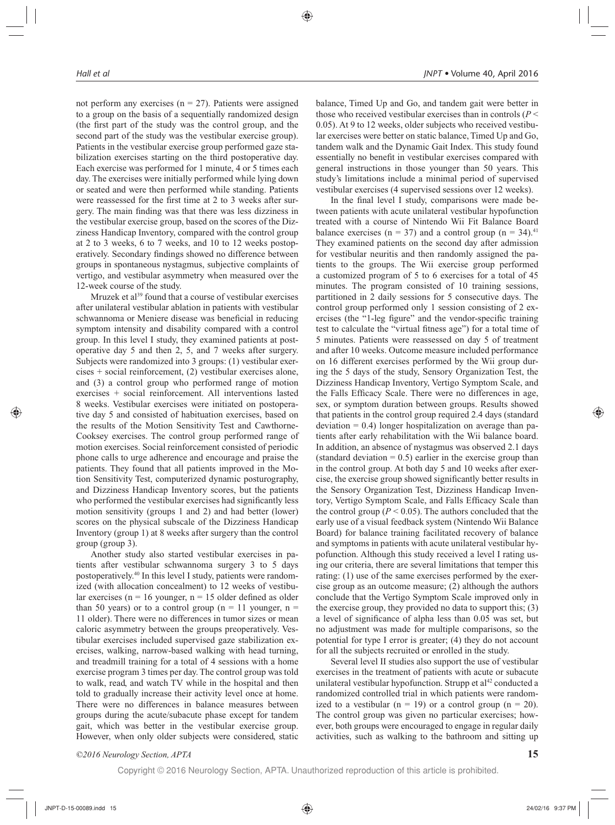not perform any exercises ( $n = 27$ ). Patients were assigned to a group on the basis of a sequentially randomized design (the first part of the study was the control group, and the second part of the study was the vestibular exercise group). Patients in the vestibular exercise group performed gaze stabilization exercises starting on the third postoperative day. Each exercise was performed for 1 minute, 4 or 5 times each day. The exercises were initially performed while lying down or seated and were then performed while standing. Patients were reassessed for the first time at 2 to 3 weeks after surgery. The main finding was that there was less dizziness in the vestibular exercise group, based on the scores of the Dizziness Handicap Inventory, compared with the control group at 2 to 3 weeks, 6 to 7 weeks, and 10 to 12 weeks postoperatively. Secondary findings showed no difference between groups in spontaneous nystagmus, subjective complaints of vertigo, and vestibular asymmetry when measured over the 12-week course of the study.

Mruzek et al<sup>39</sup> found that a course of vestibular exercises after unilateral vestibular ablation in patients with vestibular schwannoma or Meniere disease was beneficial in reducing symptom intensity and disability compared with a control group. In this level I study, they examined patients at postoperative day 5 and then 2, 5, and 7 weeks after surgery. Subjects were randomized into 3 groups: (1) vestibular exercises + social reinforcement, (2) vestibular exercises alone, and (3) a control group who performed range of motion exercises + social reinforcement. All interventions lasted 8 weeks. Vestibular exercises were initiated on postoperative day 5 and consisted of habituation exercises, based on the results of the Motion Sensitivity Test and Cawthorne-Cooksey exercises. The control group performed range of motion exercises. Social reinforcement consisted of periodic phone calls to urge adherence and encourage and praise the patients. They found that all patients improved in the Motion Sensitivity Test, computerized dynamic posturography, and Dizziness Handicap Inventory scores, but the patients who performed the vestibular exercises had significantly less motion sensitivity (groups 1 and 2) and had better (lower) scores on the physical subscale of the Dizziness Handicap Inventory (group 1) at 8 weeks after surgery than the control group (group 3).

Another study also started vestibular exercises in patients after vestibular schwannoma surgery 3 to 5 days postoperatively.40 In this level I study, patients were randomized (with allocation concealment) to 12 weeks of vestibular exercises ( $n = 16$  younger,  $n = 15$  older defined as older than 50 years) or to a control group ( $n = 11$  younger,  $n =$ 11 older). There were no differences in tumor sizes or mean caloric asymmetry between the groups preoperatively. Vestibular exercises included supervised gaze stabilization exercises, walking, narrow-based walking with head turning, and treadmill training for a total of 4 sessions with a home exercise program 3 times per day. The control group was told to walk, read, and watch TV while in the hospital and then told to gradually increase their activity level once at home. There were no differences in balance measures between groups during the acute/subacute phase except for tandem gait, which was better in the vestibular exercise group. However, when only older subjects were considered, static

balance, Timed Up and Go, and tandem gait were better in those who received vestibular exercises than in controls (*P* < 0.05). At 9 to 12 weeks, older subjects who received vestibular exercises were better on static balance, Timed Up and Go, tandem walk and the Dynamic Gait Index. This study found essentially no benefit in vestibular exercises compared with general instructions in those younger than 50 years. This study's limitations include a minimal period of supervised vestibular exercises (4 supervised sessions over 12 weeks).

In the final level I study, comparisons were made between patients with acute unilateral vestibular hypofunction treated with a course of Nintendo Wii Fit Balance Board balance exercises ( $n = 37$ ) and a control group ( $n = 34$ ).<sup>41</sup> They examined patients on the second day after admission for vestibular neuritis and then randomly assigned the patients to the groups. The Wii exercise group performed a customized program of 5 to 6 exercises for a total of 45 minutes. The program consisted of 10 training sessions, partitioned in 2 daily sessions for 5 consecutive days. The control group performed only 1 session consisting of 2 exercises (the "1-leg figure" and the vendor-specific training test to calculate the "virtual fitness age") for a total time of 5 minutes. Patients were reassessed on day 5 of treatment and after 10 weeks. Outcome measure included performance on 16 different exercises performed by the Wii group during the 5 days of the study, Sensory Organization Test, the Dizziness Handicap Inventory, Vertigo Symptom Scale, and the Falls Efficacy Scale. There were no differences in age, sex, or symptom duration between groups. Results showed that patients in the control group required 2.4 days (standard  $deviation = 0.4$ ) longer hospitalization on average than patients after early rehabilitation with the Wii balance board. In addition, an absence of nystagmus was observed 2.1 days (standard deviation  $= 0.5$ ) earlier in the exercise group than in the control group. At both day 5 and 10 weeks after exercise, the exercise group showed significantly better results in the Sensory Organization Test, Dizziness Handicap Inventory, Vertigo Symptom Scale, and Falls Efficacy Scale than the control group ( $P < 0.05$ ). The authors concluded that the early use of a visual feedback system (Nintendo Wii Balance Board) for balance training facilitated recovery of balance and symptoms in patients with acute unilateral vestibular hypofunction. Although this study received a level I rating using our criteria, there are several limitations that temper this rating: (1) use of the same exercises performed by the exercise group as an outcome measure; (2) although the authors conclude that the Vertigo Symptom Scale improved only in the exercise group, they provided no data to support this; (3) a level of significance of alpha less than 0.05 was set, but no adjustment was made for multiple comparisons, so the potential for type I error is greater; (4) they do not account for all the subjects recruited or enrolled in the study.

Several level II studies also support the use of vestibular exercises in the treatment of patients with acute or subacute unilateral vestibular hypofunction. Strupp et  $al<sup>42</sup>$  conducted a randomized controlled trial in which patients were randomized to a vestibular ( $n = 19$ ) or a control group ( $n = 20$ ). The control group was given no particular exercises; however, both groups were encouraged to engage in regular daily activities, such as walking to the bathroom and sitting up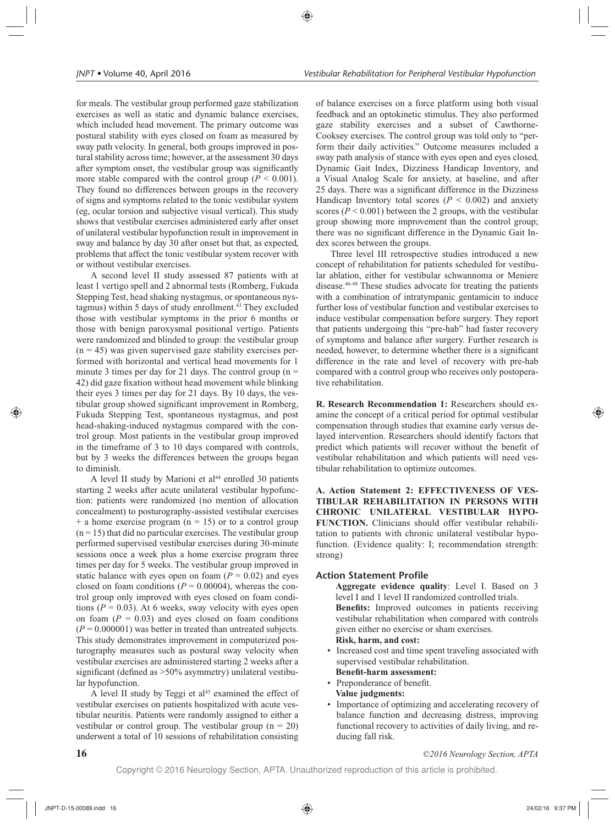for meals. The vestibular group performed gaze stabilization exercises as well as static and dynamic balance exercises, which included head movement. The primary outcome was postural stability with eyes closed on foam as measured by sway path velocity. In general, both groups improved in postural stability across time; however, at the assessment 30 days after symptom onset, the vestibular group was significantly more stable compared with the control group  $(P < 0.001)$ . They found no differences between groups in the recovery of signs and symptoms related to the tonic vestibular system (eg, ocular torsion and subjective visual vertical). This study shows that vestibular exercises administered early after onset of unilateral vestibular hypofunction result in improvement in sway and balance by day 30 after onset but that, as expected, problems that affect the tonic vestibular system recover with or without vestibular exercises.

A second level II study assessed 87 patients with at least 1 vertigo spell and 2 abnormal tests (Romberg, Fukuda Stepping Test, head shaking nystagmus, or spontaneous nystagmus) within 5 days of study enrollment.<sup>43</sup> They excluded those with vestibular symptoms in the prior 6 months or those with benign paroxysmal positional vertigo. Patients were randomized and blinded to group: the vestibular group  $(n = 45)$  was given supervised gaze stability exercises performed with horizontal and vertical head movements for 1 minute 3 times per day for 21 days. The control group  $(n =$ 42) did gaze fixation without head movement while blinking their eyes 3 times per day for 21 days. By 10 days, the vestibular group showed significant improvement in Romberg, Fukuda Stepping Test, spontaneous nystagmus, and post head-shaking-induced nystagmus compared with the control group. Most patients in the vestibular group improved in the timeframe of 3 to 10 days compared with controls, but by 3 weeks the differences between the groups began to diminish.

A level II study by Marioni et al<sup>44</sup> enrolled 30 patients starting 2 weeks after acute unilateral vestibular hypofunction: patients were randomized (no mention of allocation concealment) to posturography-assisted vestibular exercises  $+$  a home exercise program ( $n = 15$ ) or to a control group  $(n = 15)$  that did no particular exercises. The vestibular group performed supervised vestibular exercises during 30-minute sessions once a week plus a home exercise program three times per day for 5 weeks. The vestibular group improved in static balance with eyes open on foam  $(P = 0.02)$  and eyes closed on foam conditions ( $P = 0.00004$ ), whereas the control group only improved with eyes closed on foam conditions ( $P = 0.03$ ). At 6 weeks, sway velocity with eyes open on foam  $(P = 0.03)$  and eyes closed on foam conditions  $(P = 0.000001)$  was better in treated than untreated subjects. This study demonstrates improvement in computerized posturography measures such as postural sway velocity when vestibular exercises are administered starting 2 weeks after a significant (defined as  $>50\%$  asymmetry) unilateral vestibular hypofunction.

A level II study by Teggi et al<sup>45</sup> examined the effect of vestibular exercises on patients hospitalized with acute vestibular neuritis. Patients were randomly assigned to either a vestibular or control group. The vestibular group  $(n = 20)$ underwent a total of 10 sessions of rehabilitation consisting

of balance exercises on a force platform using both visual feedback and an optokinetic stimulus. They also performed gaze stability exercises and a subset of Cawthorne-Cooksey exercises. The control group was told only to "perform their daily activities." Outcome measures included a sway path analysis of stance with eyes open and eyes closed, Dynamic Gait Index, Dizziness Handicap Inventory, and a Visual Analog Scale for anxiety, at baseline, and after 25 days. There was a significant difference in the Dizziness Handicap Inventory total scores  $(P < 0.002)$  and anxiety scores  $(P < 0.001)$  between the 2 groups, with the vestibular group showing more improvement than the control group; there was no significant difference in the Dynamic Gait Index scores between the groups.

Three level III retrospective studies introduced a new concept of rehabilitation for patients scheduled for vestibular ablation, either for vestibular schwannoma or Meniere disease.46-48 These studies advocate for treating the patients with a combination of intratympanic gentamicin to induce further loss of vestibular function and vestibular exercises to induce vestibular compensation before surgery. They report that patients undergoing this "pre-hab" had faster recovery of symptoms and balance after surgery. Further research is needed, however, to determine whether there is a significant difference in the rate and level of recovery with pre-hab compared with a control group who receives only postoperative rehabilitation.

**R. Research Recommendation 1:** Researchers should examine the concept of a critical period for optimal vestibular compensation through studies that examine early versus delayed intervention. Researchers should identify factors that predict which patients will recover without the benefit of vestibular rehabilitation and which patients will need vestibular rehabilitation to optimize outcomes.

**A. Action Statement 2: EFFECTIVENESS OF VES-TIBULAR REHABILITATION IN PERSONS WITH CHRONIC UNILATERAL VESTIBULAR HYPO-FUNCTION.** Clinicians should offer vestibular rehabilitation to patients with chronic unilateral vestibular hypofunction. (Evidence quality: I; recommendation strength: strong)

#### **Action Statement Profile**

**Aggregate evidence quality**: Level I. Based on 3 level I and 1 level II randomized controlled trials. **Benefits:** Improved outcomes in patients receiving vestibular rehabilitation when compared with controls given either no exercise or sham exercises. **Risk, harm, and cost:**

- Increased cost and time spent traveling associated with supervised vestibular rehabilitation. **Benefit-harm assessment:**
- Preponderance of benefit.
- **Value judgments:**
- Importance of optimizing and accelerating recovery of balance function and decreasing distress, improving functional recovery to activities of daily living, and reducing fall risk.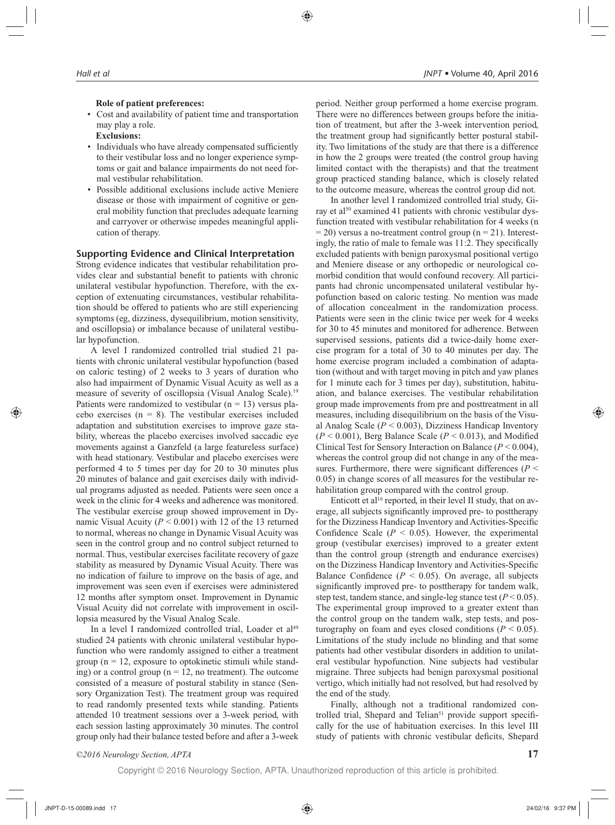#### **Role of patient preferences:**

 • Cost and availability of patient time and transportation may play a role.

**Exclusions:**

- Individuals who have already compensated sufficiently to their vestibular loss and no longer experience symptoms or gait and balance impairments do not need formal vestibular rehabilitation.
- Possible additional exclusions include active Meniere disease or those with impairment of cognitive or general mobility function that precludes adequate learning and carryover or otherwise impedes meaningful application of therapy.

#### **Supporting Evidence and Clinical Interpretation**

Strong evidence indicates that vestibular rehabilitation provides clear and substantial benefit to patients with chronic unilateral vestibular hypofunction. Therefore, with the exception of extenuating circumstances, vestibular rehabilitation should be offered to patients who are still experiencing symptoms (eg, dizziness, dysequilibrium, motion sensitivity, and oscillopsia) or imbalance because of unilateral vestibular hypofunction.

A level I randomized controlled trial studied 21 patients with chronic unilateral vestibular hypofunction (based on caloric testing) of 2 weeks to 3 years of duration who also had impairment of Dynamic Visual Acuity as well as a measure of severity of oscillopsia (Visual Analog Scale).<sup>19</sup> Patients were randomized to vestibular  $(n = 13)$  versus placebo exercises  $(n = 8)$ . The vestibular exercises included adaptation and substitution exercises to improve gaze stability, whereas the placebo exercises involved saccadic eye movements against a Ganzfeld (a large featureless surface) with head stationary. Vestibular and placebo exercises were performed 4 to 5 times per day for 20 to 30 minutes plus 20 minutes of balance and gait exercises daily with individual programs adjusted as needed. Patients were seen once a week in the clinic for 4 weeks and adherence was monitored. The vestibular exercise group showed improvement in Dynamic Visual Acuity (*P* < 0.001) with 12 of the 13 returned to normal, whereas no change in Dynamic Visual Acuity was seen in the control group and no control subject returned to normal. Thus, vestibular exercises facilitate recovery of gaze stability as measured by Dynamic Visual Acuity. There was no indication of failure to improve on the basis of age, and improvement was seen even if exercises were administered 12 months after symptom onset. Improvement in Dynamic Visual Acuity did not correlate with improvement in oscillopsia measured by the Visual Analog Scale.

In a level I randomized controlled trial, Loader et al<sup>49</sup> studied 24 patients with chronic unilateral vestibular hypofunction who were randomly assigned to either a treatment group ( $n = 12$ , exposure to optokinetic stimuli while standing) or a control group ( $n = 12$ , no treatment). The outcome consisted of a measure of postural stability in stance (Sensory Organization Test). The treatment group was required to read randomly presented texts while standing. Patients attended 10 treatment sessions over a 3-week period, with each session lasting approximately 30 minutes. The control group only had their balance tested before and after a 3-week

period. Neither group performed a home exercise program. There were no differences between groups before the initiation of treatment, but after the 3-week intervention period, the treatment group had significantly better postural stability. Two limitations of the study are that there is a difference in how the 2 groups were treated (the control group having limited contact with the therapists) and that the treatment group practiced standing balance, which is closely related to the outcome measure, whereas the control group did not.

In another level I randomized controlled trial study, Giray et al<sup>50</sup> examined 41 patients with chronic vestibular dysfunction treated with vestibular rehabilitation for 4 weeks (n  $= 20$ ) versus a no-treatment control group (n  $= 21$ ). Interestingly, the ratio of male to female was 11:2. They specifically excluded patients with benign paroxysmal positional vertigo and Meniere disease or any orthopedic or neurological comorbid condition that would confound recovery. All participants had chronic uncompensated unilateral vestibular hypofunction based on caloric testing. No mention was made of allocation concealment in the randomization process. Patients were seen in the clinic twice per week for 4 weeks for 30 to 45 minutes and monitored for adherence. Between supervised sessions, patients did a twice-daily home exercise program for a total of 30 to 40 minutes per day. The home exercise program included a combination of adaptation (without and with target moving in pitch and yaw planes for 1 minute each for 3 times per day), substitution, habituation, and balance exercises. The vestibular rehabilitation group made improvements from pre and posttreatment in all measures, including disequilibrium on the basis of the Visual Analog Scale (*P* < 0.003), Dizziness Handicap Inventory  $(P < 0.001)$ , Berg Balance Scale  $(P < 0.013)$ , and Modified Clinical Test for Sensory Interaction on Balance (*P* < 0.004), whereas the control group did not change in any of the measures. Furthermore, there were significant differences ( $P$  < 0.05) in change scores of all measures for the vestibular rehabilitation group compared with the control group.

Enticott et al<sup>16</sup> reported, in their level II study, that on average, all subjects significantly improved pre- to posttherapy for the Dizziness Handicap Inventory and Activities-Specific Confidence Scale ( $P < 0.05$ ). However, the experimental group (vestibular exercises) improved to a greater extent than the control group (strength and endurance exercises) on the Dizziness Handicap Inventory and Activities-Specific Balance Confidence ( $P < 0.05$ ). On average, all subjects significantly improved pre- to posttherapy for tandem walk, step test, tandem stance, and single-leg stance test  $(P < 0.05)$ . The experimental group improved to a greater extent than the control group on the tandem walk, step tests, and posturography on foam and eyes closed conditions ( $P < 0.05$ ). Limitations of the study include no blinding and that some patients had other vestibular disorders in addition to unilateral vestibular hypofunction. Nine subjects had vestibular migraine. Three subjects had benign paroxysmal positional vertigo, which initially had not resolved, but had resolved by the end of the study.

Finally, although not a traditional randomized controlled trial, Shepard and Telian<sup>51</sup> provide support specifically for the use of habituation exercises. In this level III study of patients with chronic vestibular deficits, Shepard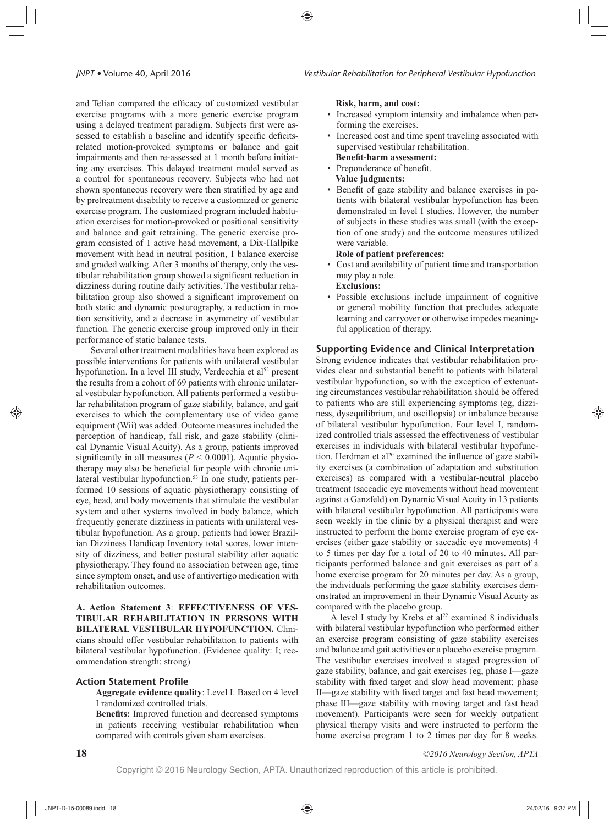and Telian compared the efficacy of customized vestibular exercise programs with a more generic exercise program using a delayed treatment paradigm. Subjects first were assessed to establish a baseline and identify specific deficitsrelated motion-provoked symptoms or balance and gait impairments and then re-assessed at 1 month before initiating any exercises. This delayed treatment model served as a control for spontaneous recovery. Subjects who had not shown spontaneous recovery were then stratified by age and by pretreatment disability to receive a customized or generic exercise program. The customized program included habituation exercises for motion-provoked or positional sensitivity and balance and gait retraining. The generic exercise program consisted of 1 active head movement, a Dix-Hallpike movement with head in neutral position, 1 balance exercise and graded walking. After 3 months of therapy, only the vestibular rehabilitation group showed a significant reduction in dizziness during routine daily activities. The vestibular rehabilitation group also showed a significant improvement on both static and dynamic posturography, a reduction in motion sensitivity, and a decrease in asymmetry of vestibular function. The generic exercise group improved only in their performance of static balance tests.

Several other treatment modalities have been explored as possible interventions for patients with unilateral vestibular hypofunction. In a level III study, Verdecchia et al<sup>52</sup> present the results from a cohort of 69 patients with chronic unilateral vestibular hypofunction. All patients performed a vestibular rehabilitation program of gaze stability, balance, and gait exercises to which the complementary use of video game equipment (Wii) was added. Outcome measures included the perception of handicap, fall risk, and gaze stability (clinical Dynamic Visual Acuity). As a group, patients improved significantly in all measures  $(P < 0.0001)$ . Aquatic physiotherapy may also be beneficial for people with chronic unilateral vestibular hypofunction.<sup>53</sup> In one study, patients performed 10 sessions of aquatic physiotherapy consisting of eye, head, and body movements that stimulate the vestibular system and other systems involved in body balance, which frequently generate dizziness in patients with unilateral vestibular hypofunction. As a group, patients had lower Brazilian Dizziness Handicap Inventory total scores, lower intensity of dizziness, and better postural stability after aquatic physiotherapy. They found no association between age, time since symptom onset, and use of antivertigo medication with rehabilitation outcomes.

**A. Action Statement 3**: **EFFECTIVENESS OF VES-TIBULAR REHABILITATION IN PERSONS WITH BILATERAL VESTIBULAR HYPOFUNCTION.** Clinicians should offer vestibular rehabilitation to patients with bilateral vestibular hypofunction. (Evidence quality: I; recommendation strength: strong)

#### **Action Statement Profile**

**Aggregate evidence quality**: Level I. Based on 4 level I randomized controlled trials.

**Benefits:** Improved function and decreased symptoms in patients receiving vestibular rehabilitation when compared with controls given sham exercises.

#### **Risk, harm, and cost:**

- Increased symptom intensity and imbalance when performing the exercises.
- Increased cost and time spent traveling associated with supervised vestibular rehabilitation. **Benefit-harm assessment:**
- Preponderance of benefit. **Value judgments:**
- Benefit of gaze stability and balance exercises in patients with bilateral vestibular hypofunction has been demonstrated in level I studies. However, the number of subjects in these studies was small (with the exception of one study) and the outcome measures utilized were variable.
	- **Role of patient preferences:**
- Cost and availability of patient time and transportation may play a role.
- **Exclusions:**
- Possible exclusions include impairment of cognitive or general mobility function that precludes adequate learning and carryover or otherwise impedes meaningful application of therapy.

#### **Supporting Evidence and Clinical Interpretation**

Strong evidence indicates that vestibular rehabilitation provides clear and substantial benefit to patients with bilateral vestibular hypofunction, so with the exception of extenuating circumstances vestibular rehabilitation should be offered to patients who are still experiencing symptoms (eg, dizziness, dysequilibrium, and oscillopsia) or imbalance because of bilateral vestibular hypofunction. Four level I, randomized controlled trials assessed the effectiveness of vestibular exercises in individuals with bilateral vestibular hypofunction. Herdman et al<sup>20</sup> examined the influence of gaze stability exercises (a combination of adaptation and substitution exercises) as compared with a vestibular-neutral placebo treatment (saccadic eye movements without head movement against a Ganzfeld) on Dynamic Visual Acuity in 13 patients with bilateral vestibular hypofunction. All participants were seen weekly in the clinic by a physical therapist and were instructed to perform the home exercise program of eye exercises (either gaze stability or saccadic eye movements) 4 to 5 times per day for a total of 20 to 40 minutes. All participants performed balance and gait exercises as part of a home exercise program for 20 minutes per day. As a group, the individuals performing the gaze stability exercises demonstrated an improvement in their Dynamic Visual Acuity as compared with the placebo group.

A level I study by Krebs et al<sup>22</sup> examined 8 individuals with bilateral vestibular hypofunction who performed either an exercise program consisting of gaze stability exercises and balance and gait activities or a placebo exercise program. The vestibular exercises involved a staged progression of gaze stability, balance, and gait exercises (eg, phase I—gaze stability with fixed target and slow head movement; phase II—gaze stability with fixed target and fast head movement; phase III—gaze stability with moving target and fast head movement). Participants were seen for weekly outpatient physical therapy visits and were instructed to perform the home exercise program 1 to 2 times per day for 8 weeks.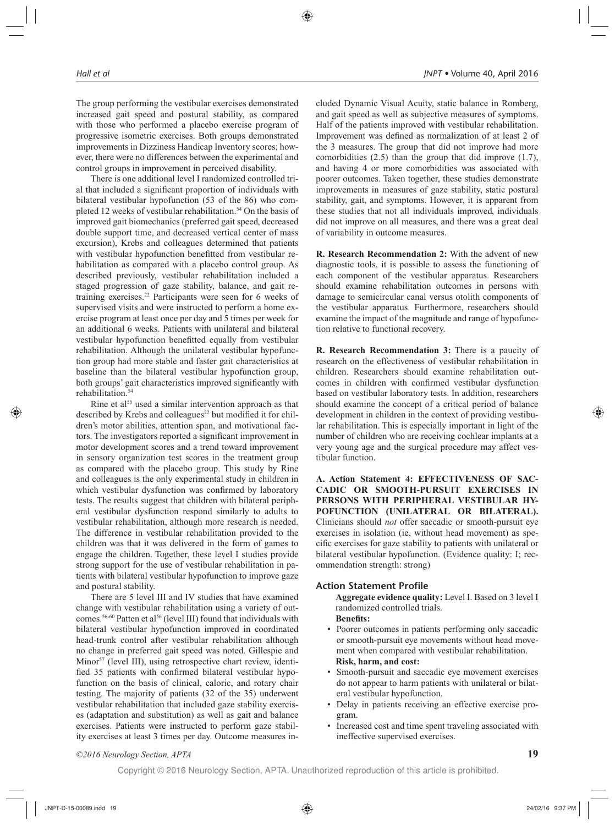The group performing the vestibular exercises demonstrated increased gait speed and postural stability, as compared with those who performed a placebo exercise program of progressive isometric exercises. Both groups demonstrated improvements in Dizziness Handicap Inventory scores; however, there were no differences between the experimental and control groups in improvement in perceived disability.

There is one additional level I randomized controlled trial that included a significant proportion of individuals with bilateral vestibular hypofunction (53 of the 86) who completed 12 weeks of vestibular rehabilitation.<sup>54</sup> On the basis of improved gait biomechanics (preferred gait speed, decreased double support time, and decreased vertical center of mass excursion), Krebs and colleagues determined that patients with vestibular hypofunction benefitted from vestibular rehabilitation as compared with a placebo control group. As described previously, vestibular rehabilitation included a staged progression of gaze stability, balance, and gait retraining exercises.22 Participants were seen for 6 weeks of supervised visits and were instructed to perform a home exercise program at least once per day and 5 times per week for an additional 6 weeks. Patients with unilateral and bilateral vestibular hypofunction benefitted equally from vestibular rehabilitation. Although the unilateral vestibular hypofunction group had more stable and faster gait characteristics at baseline than the bilateral vestibular hypofunction group, both groups' gait characteristics improved significantly with rehabilitation.54

Rine et al<sup>55</sup> used a similar intervention approach as that described by Krebs and colleagues<sup>22</sup> but modified it for children's motor abilities, attention span, and motivational factors. The investigators reported a significant improvement in motor development scores and a trend toward improvement in sensory organization test scores in the treatment group as compared with the placebo group. This study by Rine and colleagues is the only experimental study in children in which vestibular dysfunction was confirmed by laboratory tests. The results suggest that children with bilateral peripheral vestibular dysfunction respond similarly to adults to vestibular rehabilitation, although more research is needed. The difference in vestibular rehabilitation provided to the children was that it was delivered in the form of games to engage the children. Together, these level I studies provide strong support for the use of vestibular rehabilitation in patients with bilateral vestibular hypofunction to improve gaze and postural stability.

There are 5 level III and IV studies that have examined change with vestibular rehabilitation using a variety of outcomes.<sup>56-60</sup> Patten et al<sup>56</sup> (level III) found that individuals with bilateral vestibular hypofunction improved in coordinated head-trunk control after vestibular rehabilitation although no change in preferred gait speed was noted. Gillespie and Minor<sup>57</sup> (level III), using retrospective chart review, identified 35 patients with confirmed bilateral vestibular hypofunction on the basis of clinical, caloric, and rotary chair testing. The majority of patients (32 of the 35) underwent vestibular rehabilitation that included gaze stability exercises (adaptation and substitution) as well as gait and balance exercises. Patients were instructed to perform gaze stability exercises at least 3 times per day. Outcome measures included Dynamic Visual Acuity, static balance in Romberg, and gait speed as well as subjective measures of symptoms. Half of the patients improved with vestibular rehabilitation. Improvement was defined as normalization of at least 2 of the 3 measures. The group that did not improve had more comorbidities (2.5) than the group that did improve (1.7), and having 4 or more comorbidities was associated with poorer outcomes. Taken together, these studies demonstrate improvements in measures of gaze stability, static postural stability, gait, and symptoms. However, it is apparent from these studies that not all individuals improved, individuals did not improve on all measures, and there was a great deal of variability in outcome measures.

**R. Research Recommendation 2:** With the advent of new diagnostic tools, it is possible to assess the functioning of each component of the vestibular apparatus. Researchers should examine rehabilitation outcomes in persons with damage to semicircular canal versus otolith components of the vestibular apparatus. Furthermore, researchers should examine the impact of the magnitude and range of hypofunction relative to functional recovery.

**R. Research Recommendation 3:** There is a paucity of research on the effectiveness of vestibular rehabilitation in children. Researchers should examine rehabilitation outcomes in children with confirmed vestibular dysfunction based on vestibular laboratory tests. In addition, researchers should examine the concept of a critical period of balance development in children in the context of providing vestibular rehabilitation. This is especially important in light of the number of children who are receiving cochlear implants at a very young age and the surgical procedure may affect vestibular function.

**A. Action Statement 4: EFFECTIVENESS OF SAC-CADIC OR SMOOTH-PURSUIT EXERCISES IN PERSONS WITH PERIPHERAL VESTIBULAR HY-POFUNCTION (UNILATERAL OR BILATERAL).** Clinicians should *not* offer saccadic or smooth-pursuit eye exercises in isolation (ie, without head movement) as specific exercises for gaze stability to patients with unilateral or bilateral vestibular hypofunction. (Evidence quality: I; recommendation strength: strong)

#### **Action Statement Profile**

- **Aggregate evidence quality:** Level I. Based on 3 level I randomized controlled trials. **Benefits:**
- Poorer outcomes in patients performing only saccadic or smooth-pursuit eye movements without head movement when compared with vestibular rehabilitation. **Risk, harm, and cost:**
- Smooth-pursuit and saccadic eye movement exercises do not appear to harm patients with unilateral or bilateral vestibular hypofunction.
- Delay in patients receiving an effective exercise program.
- Increased cost and time spent traveling associated with ineffective supervised exercises.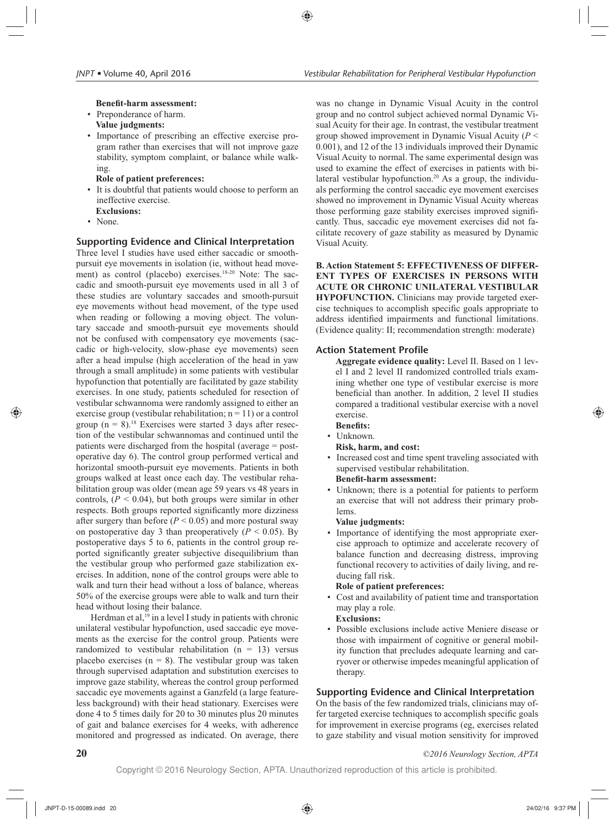#### **Benefit-harm assessment:**

- Preponderance of harm.
- **Value judgments:**
- Importance of prescribing an effective exercise program rather than exercises that will not improve gaze stability, symptom complaint, or balance while walking.
	- **Role of patient preferences:**
- It is doubtful that patients would choose to perform an ineffective exercise.
- **Exclusions:**
- None.

#### **Supporting Evidence and Clinical Interpretation**

Three level I studies have used either saccadic or smoothpursuit eye movements in isolation (ie, without head movement) as control (placebo) exercises.<sup>18-20</sup> Note: The saccadic and smooth-pursuit eye movements used in all 3 of these studies are voluntary saccades and smooth-pursuit eye movements without head movement, of the type used when reading or following a moving object. The voluntary saccade and smooth-pursuit eye movements should not be confused with compensatory eye movements (saccadic or high-velocity, slow-phase eye movements) seen after a head impulse (high acceleration of the head in yaw through a small amplitude) in some patients with vestibular hypofunction that potentially are facilitated by gaze stability exercises. In one study, patients scheduled for resection of vestibular schwannoma were randomly assigned to either an exercise group (vestibular rehabilitation;  $n = 11$ ) or a control group  $(n = 8)$ .<sup>18</sup> Exercises were started 3 days after resection of the vestibular schwannomas and continued until the patients were discharged from the hospital (average = postoperative day 6). The control group performed vertical and horizontal smooth-pursuit eye movements. Patients in both groups walked at least once each day. The vestibular rehabilitation group was older (mean age 59 years vs 48 years in controls, (*P <* 0.04), but both groups were similar in other respects. Both groups reported significantly more dizziness after surgery than before  $(P < 0.05)$  and more postural sway on postoperative day 3 than preoperatively  $(P < 0.05)$ . By postoperative days 5 to 6, patients in the control group reported significantly greater subjective disequilibrium than the vestibular group who performed gaze stabilization exercises. In addition, none of the control groups were able to walk and turn their head without a loss of balance, whereas 50% of the exercise groups were able to walk and turn their head without losing their balance.

Herdman et al, $19$  in a level I study in patients with chronic unilateral vestibular hypofunction, used saccadic eye movements as the exercise for the control group. Patients were randomized to vestibular rehabilitation ( $n = 13$ ) versus placebo exercises ( $n = 8$ ). The vestibular group was taken through supervised adaptation and substitution exercises to improve gaze stability, whereas the control group performed saccadic eye movements against a Ganzfeld (a large featureless background) with their head stationary. Exercises were done 4 to 5 times daily for 20 to 30 minutes plus 20 minutes of gait and balance exercises for 4 weeks, with adherence monitored and progressed as indicated. On average, there

was no change in Dynamic Visual Acuity in the control group and no control subject achieved normal Dynamic Visual Acuity for their age. In contrast, the vestibular treatment group showed improvement in Dynamic Visual Acuity (*P* < 0.001), and 12 of the 13 individuals improved their Dynamic Visual Acuity to normal. The same experimental design was used to examine the effect of exercises in patients with bilateral vestibular hypofunction.<sup>20</sup> As a group, the individuals performing the control saccadic eye movement exercises showed no improvement in Dynamic Visual Acuity whereas those performing gaze stability exercises improved significantly. Thus, saccadic eye movement exercises did not facilitate recovery of gaze stability as measured by Dynamic Visual Acuity.

**B. Action Statement 5: EFFECTIVENESS OF DIFFER-ENT TYPES OF EXERCISES IN PERSONS WITH ACUTE OR CHRONIC UNILATERAL VESTIBULAR HYPOFUNCTION.** Clinicians may provide targeted exercise techniques to accomplish specific goals appropriate to address identified impairments and functional limitations. (Evidence quality: II; recommendation strength: moderate)

#### **Action Statement Profile**

**Aggregate evidence quality:** Level II. Based on 1 level I and 2 level II randomized controlled trials examining whether one type of vestibular exercise is more beneficial than another. In addition, 2 level II studies compared a traditional vestibular exercise with a novel exercise.

- **Benefits:**
- Unknown. **Risk, harm, and cost:**
- Increased cost and time spent traveling associated with supervised vestibular rehabilitation.
	- **Benefit-harm assessment:**
- Unknown; there is a potential for patients to perform an exercise that will not address their primary problems.
	- **Value judgments:**
- Importance of identifying the most appropriate exercise approach to optimize and accelerate recovery of balance function and decreasing distress, improving functional recovery to activities of daily living, and reducing fall risk.
	- **Role of patient preferences:**
- Cost and availability of patient time and transportation may play a role.
	- **Exclusions:**
- Possible exclusions include active Meniere disease or those with impairment of cognitive or general mobility function that precludes adequate learning and carryover or otherwise impedes meaningful application of therapy.

#### **Supporting Evidence and Clinical Interpretation**

On the basis of the few randomized trials, clinicians may offer targeted exercise techniques to accomplish specific goals for improvement in exercise programs (eg, exercises related to gaze stability and visual motion sensitivity for improved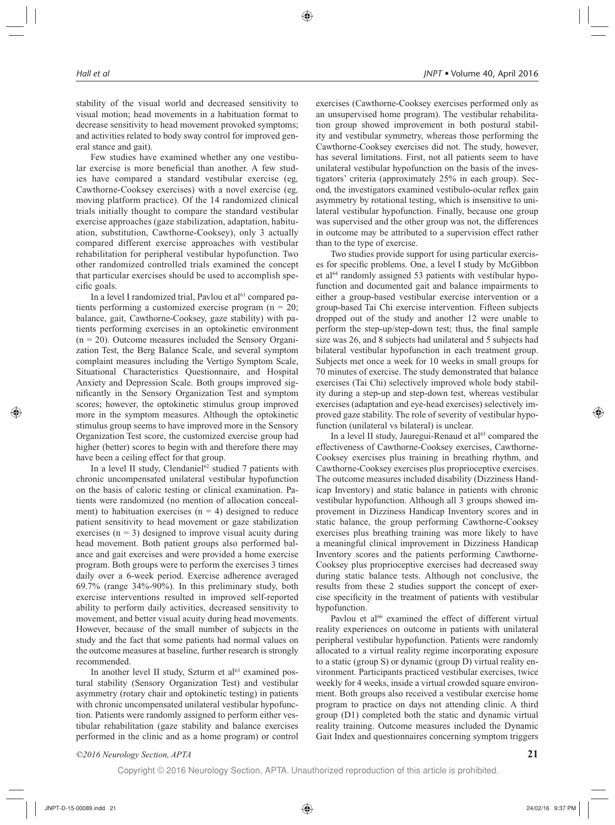stability of the visual world and decreased sensitivity to visual motion; head movements in a habituation format to decrease sensitivity to head movement provoked symptoms; and activities related to body sway control for improved general stance and gait).

Few studies have examined whether any one vestibular exercise is more beneficial than another. A few studies have compared a standard vestibular exercise (eg*,*  Cawthorne-Cooksey exercises) with a novel exercise (eg*,* moving platform practice)*.* Of the 14 randomized clinical trials initially thought to compare the standard vestibular exercise approaches (gaze stabilization, adaptation, habituation, substitution, Cawthorne-Cooksey), only 3 actually compared different exercise approaches with vestibular rehabilitation for peripheral vestibular hypofunction. Two other randomized controlled trials examined the concept that particular exercises should be used to accomplish specific goals.

In a level I randomized trial, Pavlou et al<sup>61</sup> compared patients performing a customized exercise program (n = 20; balance, gait, Cawthorne-Cooksey, gaze stability) with patients performing exercises in an optokinetic environment  $(n = 20)$ . Outcome measures included the Sensory Organization Test, the Berg Balance Scale, and several symptom complaint measures including the Vertigo Symptom Scale, Situational Characteristics Questionnaire, and Hospital Anxiety and Depression Scale. Both groups improved significantly in the Sensory Organization Test and symptom scores; however, the optokinetic stimulus group improved more in the symptom measures. Although the optokinetic stimulus group seems to have improved more in the Sensory Organization Test score, the customized exercise group had higher (better) scores to begin with and therefore there may have been a ceiling effect for that group.

In a level II study, Clendaniel<sup>62</sup> studied 7 patients with chronic uncompensated unilateral vestibular hypofunction on the basis of caloric testing or clinical examination. Patients were randomized (no mention of allocation concealment) to habituation exercises  $(n = 4)$  designed to reduce patient sensitivity to head movement or gaze stabilization exercises  $(n = 3)$  designed to improve visual acuity during head movement. Both patient groups also performed balance and gait exercises and were provided a home exercise program. Both groups were to perform the exercises 3 times daily over a 6-week period. Exercise adherence averaged 69.7% (range 34%-90%). In this preliminary study, both exercise interventions resulted in improved self-reported ability to perform daily activities, decreased sensitivity to movement, and better visual acuity during head movements. However, because of the small number of subjects in the study and the fact that some patients had normal values on the outcome measures at baseline, further research is strongly recommended.

In another level II study, Szturm et al<sup>63</sup> examined postural stability (Sensory Organization Test) and vestibular asymmetry (rotary chair and optokinetic testing) in patients with chronic uncompensated unilateral vestibular hypofunction. Patients were randomly assigned to perform either vestibular rehabilitation (gaze stability and balance exercises performed in the clinic and as a home program) or control

exercises (Cawthorne-Cooksey exercises performed only as an unsupervised home program). The vestibular rehabilitation group showed improvement in both postural stability and vestibular symmetry, whereas those performing the Cawthorne-Cooksey exercises did not. The study, however, has several limitations. First, not all patients seem to have unilateral vestibular hypofunction on the basis of the investigators' criteria (approximately 25% in each group). Second, the investigators examined vestibulo-ocular reflex gain asymmetry by rotational testing, which is insensitive to unilateral vestibular hypofunction. Finally, because one group was supervised and the other group was not, the differences in outcome may be attributed to a supervision effect rather than to the type of exercise.

Two studies provide support for using particular exercises for specific problems. One, a level I study by McGibbon et al<sup>64</sup> randomly assigned 53 patients with vestibular hypofunction and documented gait and balance impairments to either a group-based vestibular exercise intervention or a group-based Tai Chi exercise intervention. Fifteen subjects dropped out of the study and another 12 were unable to perform the step-up/step-down test; thus, the final sample size was 26, and 8 subjects had unilateral and 5 subjects had bilateral vestibular hypofunction in each treatment group. Subjects met once a week for 10 weeks in small groups for 70 minutes of exercise. The study demonstrated that balance exercises (Tai Chi) selectively improved whole body stability during a step-up and step-down test, whereas vestibular exercises (adaptation and eye-head exercises) selectively improved gaze stability. The role of severity of vestibular hypofunction (unilateral vs bilateral) is unclear.

In a level II study, Jauregui-Renaud et al<sup>65</sup> compared the effectiveness of Cawthorne-Cooksey exercises, Cawthorne-Cooksey exercises plus training in breathing rhythm, and Cawthorne-Cooksey exercises plus proprioceptive exercises. The outcome measures included disability (Dizziness Handicap Inventory) and static balance in patients with chronic vestibular hypofunction. Although all 3 groups showed improvement in Dizziness Handicap Inventory scores and in static balance, the group performing Cawthorne-Cooksey exercises plus breathing training was more likely to have a meaningful clinical improvement in Dizziness Handicap Inventory scores and the patients performing Cawthorne-Cooksey plus proprioceptive exercises had decreased sway during static balance tests. Although not conclusive, the results from these 2 studies support the concept of exercise specificity in the treatment of patients with vestibular hypofunction.

Pavlou et al<sup>66</sup> examined the effect of different virtual reality experiences on outcome in patients with unilateral peripheral vestibular hypofunction. Patients were randomly allocated to a virtual reality regime incorporating exposure to a static (group S) or dynamic (group D) virtual reality environment. Participants practiced vestibular exercises, twice weekly for 4 weeks, inside a virtual crowded square environment. Both groups also received a vestibular exercise home program to practice on days not attending clinic. A third group (D1) completed both the static and dynamic virtual reality training. Outcome measures included the Dynamic Gait Index and questionnaires concerning symptom triggers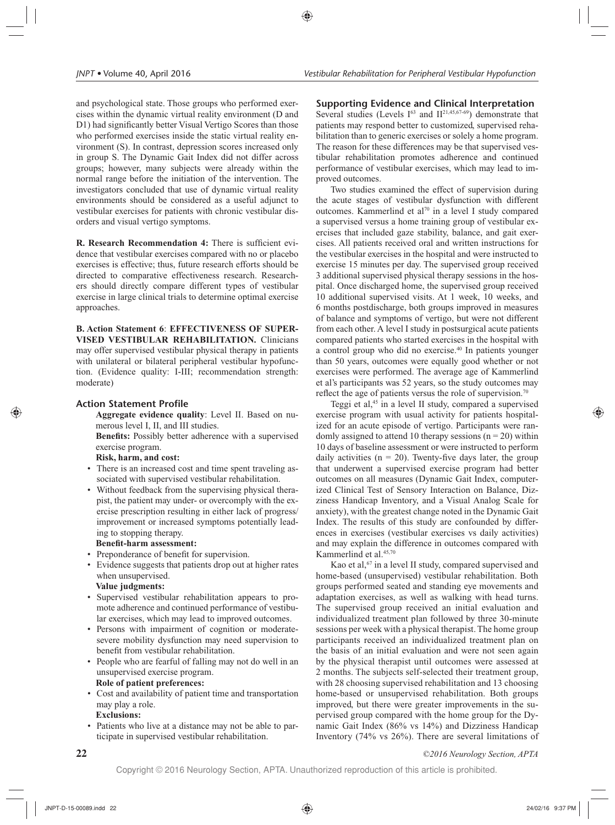and psychological state. Those groups who performed exercises within the dynamic virtual reality environment (D and D1) had significantly better Visual Vertigo Scores than those who performed exercises inside the static virtual reality environment (S). In contrast, depression scores increased only in group S. The Dynamic Gait Index did not differ across groups; however, many subjects were already within the normal range before the initiation of the intervention. The investigators concluded that use of dynamic virtual reality environments should be considered as a useful adjunct to vestibular exercises for patients with chronic vestibular disorders and visual vertigo symptoms.

**R. Research Recommendation 4:** There is sufficient evidence that vestibular exercises compared with no or placebo exercises is effective; thus, future research efforts should be directed to comparative effectiveness research. Researchers should directly compare different types of vestibular exercise in large clinical trials to determine optimal exercise approaches.

**B. Action Statement 6**: **EFFECTIVENESS OF SUPER-VISED VESTIBULAR REHABILITATION.** Clinicians may offer supervised vestibular physical therapy in patients with unilateral or bilateral peripheral vestibular hypofunction. (Evidence quality: I-III; recommendation strength: moderate)

#### **Action Statement Profile**

**Aggregate evidence quality**: Level II. Based on numerous level I, II, and III studies.

**Benefits:** Possibly better adherence with a supervised exercise program.

**Risk, harm, and cost:**

- There is an increased cost and time spent traveling associated with supervised vestibular rehabilitation.
- Without feedback from the supervising physical therapist, the patient may under- or overcomply with the exercise prescription resulting in either lack of progress/ improvement or increased symptoms potentially leading to stopping therapy.

#### **Benefit-harm assessment:**

- Preponderance of benefit for supervision.
- Evidence suggests that patients drop out at higher rates when unsupervised.

#### **Value judgments:**

- Supervised vestibular rehabilitation appears to promote adherence and continued performance of vestibular exercises, which may lead to improved outcomes.
- Persons with impairment of cognition or moderatesevere mobility dysfunction may need supervision to benefit from vestibular rehabilitation.
- People who are fearful of falling may not do well in an unsupervised exercise program.

#### **Role of patient preferences:**

 • Cost and availability of patient time and transportation may play a role.

#### **Exclusions:**

 • Patients who live at a distance may not be able to participate in supervised vestibular rehabilitation.

#### **Supporting Evidence and Clinical Interpretation**

Several studies (Levels  $I^{63}$  and  $II^{21,45,67-69}$ ) demonstrate that patients may respond better to customized, supervised rehabilitation than to generic exercises or solely a home program. The reason for these differences may be that supervised vestibular rehabilitation promotes adherence and continued performance of vestibular exercises, which may lead to improved outcomes.

Two studies examined the effect of supervision during the acute stages of vestibular dysfunction with different outcomes. Kammerlind et al<sup>70</sup> in a level I study compared a supervised versus a home training group of vestibular exercises that included gaze stability, balance, and gait exercises. All patients received oral and written instructions for the vestibular exercises in the hospital and were instructed to exercise 15 minutes per day. The supervised group received 3 additional supervised physical therapy sessions in the hospital. Once discharged home, the supervised group received 10 additional supervised visits. At 1 week, 10 weeks, and 6 months postdischarge, both groups improved in measures of balance and symptoms of vertigo, but were not different from each other. A level I study in postsurgical acute patients compared patients who started exercises in the hospital with a control group who did no exercise.<sup>40</sup> In patients younger than 50 years, outcomes were equally good whether or not exercises were performed. The average age of Kammerlind et al's participants was 52 years, so the study outcomes may reflect the age of patients versus the role of supervision.<sup>70</sup>

Teggi et al,<sup>45</sup> in a level II study, compared a supervised exercise program with usual activity for patients hospitalized for an acute episode of vertigo. Participants were randomly assigned to attend 10 therapy sessions ( $n = 20$ ) within 10 days of baseline assessment or were instructed to perform daily activities ( $n = 20$ ). Twenty-five days later, the group that underwent a supervised exercise program had better outcomes on all measures (Dynamic Gait Index, computerized Clinical Test of Sensory Interaction on Balance, Dizziness Handicap Inventory, and a Visual Analog Scale for anxiety), with the greatest change noted in the Dynamic Gait Index. The results of this study are confounded by differences in exercises (vestibular exercises vs daily activities) and may explain the difference in outcomes compared with Kammerlind et al.<sup>45,70</sup>

Kao et al,<sup>67</sup> in a level II study, compared supervised and home-based (unsupervised) vestibular rehabilitation. Both groups performed seated and standing eye movements and adaptation exercises, as well as walking with head turns. The supervised group received an initial evaluation and individualized treatment plan followed by three 30-minute sessions per week with a physical therapist. The home group participants received an individualized treatment plan on the basis of an initial evaluation and were not seen again by the physical therapist until outcomes were assessed at 2 months. The subjects self-selected their treatment group, with 28 choosing supervised rehabilitation and 13 choosing home-based or unsupervised rehabilitation. Both groups improved, but there were greater improvements in the supervised group compared with the home group for the Dynamic Gait Index (86% vs 14%) and Dizziness Handicap Inventory (74% vs 26%). There are several limitations of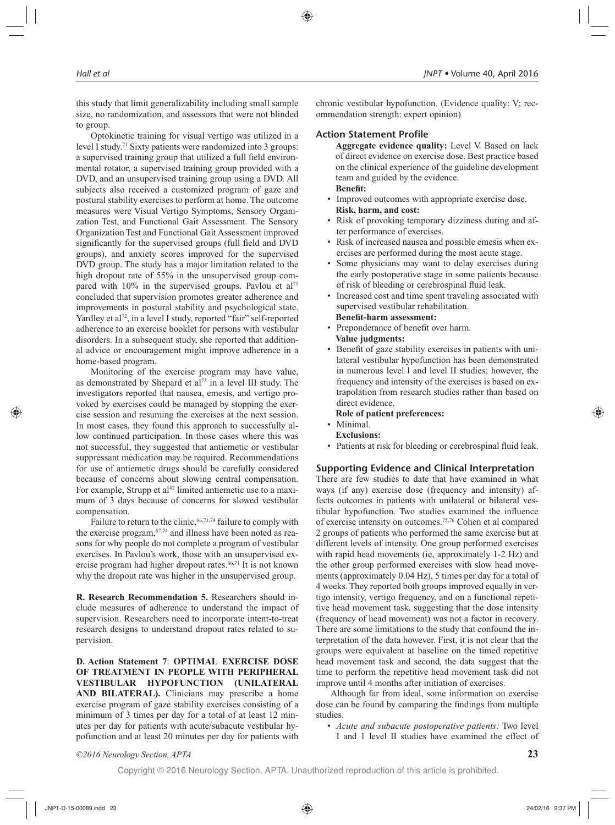this study that limit generalizability including small sample size, no randomization, and assessors that were not blinded to group.

Optokinetic training for visual vertigo was utilized in a level I study.<sup>71</sup> Sixty patients were randomized into 3 groups: a supervised training group that utilized a full field environmental rotator, a supervised training group provided with a DVD, and an unsupervised training group using a DVD. All subjects also received a customized program of gaze and postural stability exercises to perform at home. The outcome measures were Visual Vertigo Symptoms, Sensory Organization Test, and Functional Gait Assessment. The Sensory Organization Test and Functional Gait Assessment improved significantly for the supervised groups (full field and DVD groups), and anxiety scores improved for the supervised DVD group. The study has a major limitation related to the high dropout rate of 55% in the unsupervised group compared with  $10\%$  in the supervised groups. Pavlou et al<sup>71</sup> concluded that supervision promotes greater adherence and improvements in postural stability and psychological state. Yardley et al<sup>72</sup>, in a level I study, reported "fair" self-reported adherence to an exercise booklet for persons with vestibular disorders. In a subsequent study, she reported that additional advice or encouragement might improve adherence in a home-based program.

Monitoring of the exercise program may have value, as demonstrated by Shepard et al<sup>73</sup> in a level III study. The investigators reported that nausea, emesis, and vertigo provoked by exercises could be managed by stopping the exercise session and resuming the exercises at the next session. In most cases, they found this approach to successfully allow continued participation. In those cases where this was not successful, they suggested that antiemetic or vestibular suppressant medication may be required. Recommendations for use of antiemetic drugs should be carefully considered because of concerns about slowing central compensation. For example, Strupp et  $al<sup>42</sup>$  limited antiemetic use to a maximum of 3 days because of concerns for slowed vestibular compensation.

Failure to return to the clinic,  $66,71,74$  failure to comply with the exercise program,<sup>67,74</sup> and illness have been noted as reasons for why people do not complete a program of vestibular exercises. In Pavlou's work, those with an unsupervised exercise program had higher dropout rates.<sup>66,71</sup> It is not known why the dropout rate was higher in the unsupervised group.

**R. Research Recommendation 5.** Researchers should include measures of adherence to understand the impact of supervision. Researchers need to incorporate intent-to-treat research designs to understand dropout rates related to supervision.

**D. Action Statement 7**: **OPTIMAL EXERCISE DOSE OF TREATMENT IN PEOPLE WITH PERIPHERAL VESTIBULAR HYPOFUNCTION (UNILATERAL AND BILATERAL).** Clinicians may prescribe a home exercise program of gaze stability exercises consisting of a minimum of 3 times per day for a total of at least 12 minutes per day for patients with acute/subacute vestibular hypofunction and at least 20 minutes per day for patients with chronic vestibular hypofunction. (Evidence quality: V; recommendation strength: expert opinion)

#### **Action Statement Profile**

**Aggregate evidence quality:** Level V. Based on lack of direct evidence on exercise dose. Best practice based on the clinical experience of the guideline development team and guided by the evidence. **Benefit:** 

- Improved outcomes with appropriate exercise dose. **Risk, harm, and cost:**
- Risk of provoking temporary dizziness during and after performance of exercises.
- Risk of increased nausea and possible emesis when exercises are performed during the most acute stage.
- Some physicians may want to delay exercises during the early postoperative stage in some patients because of risk of bleeding or cerebrospinal fluid leak.
- Increased cost and time spent traveling associated with supervised vestibular rehabilitation.

#### **Benefit-harm assessment:**

- Preponderance of benefit over harm. **Value judgments:**
- Benefit of gaze stability exercises in patients with unilateral vestibular hypofunction has been demonstrated in numerous level l and level II studies; however, the frequency and intensity of the exercises is based on extrapolation from research studies rather than based on direct evidence.
- **Role of patient preferences:**
- Minimal.
- **Exclusions:**
- Patients at risk for bleeding or cerebrospinal fluid leak.

#### **Supporting Evidence and Clinical Interpretation**

There are few studies to date that have examined in what ways (if any) exercise dose (frequency and intensity) affects outcomes in patients with unilateral or bilateral vestibular hypofunction. Two studies examined the influence of exercise intensity on outcomes.75,76 Cohen et al compared 2 groups of patients who performed the same exercise but at different levels of intensity. One group performed exercises with rapid head movements (ie, approximately 1-2 Hz) and the other group performed exercises with slow head movements (approximately 0.04 Hz), 5 times per day for a total of 4 weeks. They reported both groups improved equally in vertigo intensity, vertigo frequency, and on a functional repetitive head movement task, suggesting that the dose intensity (frequency of head movement) was not a factor in recovery. There are some limitations to the study that confound the interpretation of the data however. First, it is not clear that the groups were equivalent at baseline on the timed repetitive head movement task and second, the data suggest that the time to perform the repetitive head movement task did not improve until 4 months after initiation of exercises.

Although far from ideal, some information on exercise dose can be found by comparing the findings from multiple studies.

 • *Acute and subacute postoperative patients:* Two level I and 1 level II studies have examined the effect of

#### *©2016 Neurology Section, APTA* **23**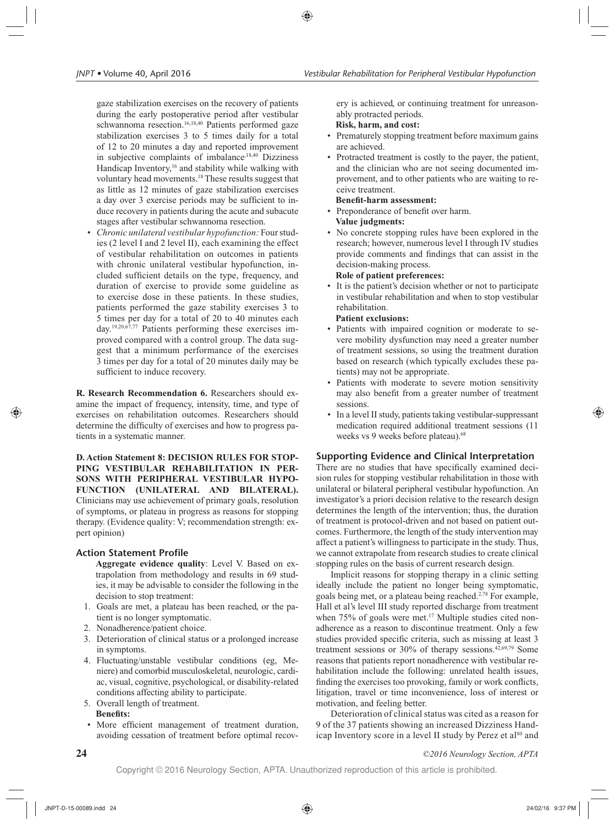gaze stabilization exercises on the recovery of patients during the early postoperative period after vestibular schwannoma resection.<sup>16,18,40</sup> Patients performed gaze stabilization exercises 3 to 5 times daily for a total of 12 to 20 minutes a day and reported improvement in subjective complaints of imbalance,18,40 Dizziness Handicap Inventory,<sup>16</sup> and stability while walking with voluntary head movements.18 These results suggest that as little as 12 minutes of gaze stabilization exercises a day over 3 exercise periods may be sufficient to induce recovery in patients during the acute and subacute stages after vestibular schwannoma resection.

 • *Chronic unilateral vestibular hypofunction:* Four studies (2 level I and 2 level II), each examining the effect of vestibular rehabilitation on outcomes in patients with chronic unilateral vestibular hypofunction, included sufficient details on the type, frequency, and duration of exercise to provide some guideline as to exercise dose in these patients. In these studies, patients performed the gaze stability exercises 3 to 5 times per day for a total of 20 to 40 minutes each day.19,20,67,77 Patients performing these exercises improved compared with a control group. The data suggest that a minimum performance of the exercises 3 times per day for a total of 20 minutes daily may be sufficient to induce recovery.

**R. Research Recommendation 6.** Researchers should examine the impact of frequency, intensity, time, and type of exercises on rehabilitation outcomes. Researchers should determine the difficulty of exercises and how to progress patients in a systematic manner.

**D. Action Statement 8: DECISION RULES FOR STOP-PING VESTIBULAR REHABILITATION IN PER-SONS WITH PERIPHERAL VESTIBULAR HYPO-FUNCTION (UNILATERAL AND BILATERAL).** Clinicians may use achievement of primary goals, resolution of symptoms, or plateau in progress as reasons for stopping therapy. (Evidence quality: V; recommendation strength: expert opinion)

#### **Action Statement Profile**

**Aggregate evidence quality**: Level V. Based on extrapolation from methodology and results in 69 studies, it may be advisable to consider the following in the decision to stop treatment:

- 1. Goals are met, a plateau has been reached, or the patient is no longer symptomatic.
- 2. Nonadherence/patient choice.
- 3. Deterioration of clinical status or a prolonged increase in symptoms.
- 4. Fluctuating/unstable vestibular conditions (eg, Meniere) and comorbid musculoskeletal, neurologic, cardiac, visual, cognitive, psychological, or disability-related conditions affecting ability to participate.
- 5. Overall length of treatment. **Benefits:**
- More efficient management of treatment duration, avoiding cessation of treatment before optimal recov-

ery is achieved, or continuing treatment for unreasonably protracted periods.

#### **Risk, harm, and cost:**

- Prematurely stopping treatment before maximum gains are achieved.
- Protracted treatment is costly to the payer, the patient, and the clinician who are not seeing documented improvement, and to other patients who are waiting to receive treatment.

#### **Benefit-harm assessment:**

- Preponderance of benefit over harm. **Value judgments:**
- No concrete stopping rules have been explored in the research; however, numerous level I through IV studies provide comments and findings that can assist in the decision-making process.

#### **Role of patient preferences:**

 • It is the patient's decision whether or not to participate in vestibular rehabilitation and when to stop vestibular rehabilitation.

#### **Patient exclusions:**

- Patients with impaired cognition or moderate to severe mobility dysfunction may need a greater number of treatment sessions, so using the treatment duration based on research (which typically excludes these patients) may not be appropriate.
- Patients with moderate to severe motion sensitivity may also benefit from a greater number of treatment sessions.
- In a level II study, patients taking vestibular-suppressant medication required additional treatment sessions (11 weeks vs 9 weeks before plateau).<sup>68</sup>

#### **Supporting Evidence and Clinical Interpretation**

There are no studies that have specifically examined deci-sion rules for stopping vestibular rehabilitation in those with unilateral or bilateral peripheral vestibular hypofunction. An investigator's a priori decision relative to the research design determines the length of the intervention; thus, the duration of treatment is protocol-driven and not based on patient outcomes. Furthermore, the length of the study intervention may affect a patient's willingness to participate in the study. Thus, we cannot extrapolate from research studies to create clinical stopping rules on the basis of current research design.

Implicit reasons for stopping therapy in a clinic setting ideally include the patient no longer being symptomatic, goals being met, or a plateau being reached.2,78 For example, Hall et al's level III study reported discharge from treatment when 75% of goals were met.<sup>17</sup> Multiple studies cited nonadherence as a reason to discontinue treatment. Only a few studies provided specific criteria, such as missing at least 3 treatment sessions or 30% of therapy sessions.<sup>42,69,79</sup> Some reasons that patients report nonadherence with vestibular rehabilitation include the following: unrelated health issues, finding the exercises too provoking, family or work conflicts, litigation, travel or time inconvenience, loss of interest or motivation, and feeling better.

Deterioration of clinical status was cited as a reason for 9 of the 37 patients showing an increased Dizziness Handicap Inventory score in a level II study by Perez et al<sup>80</sup> and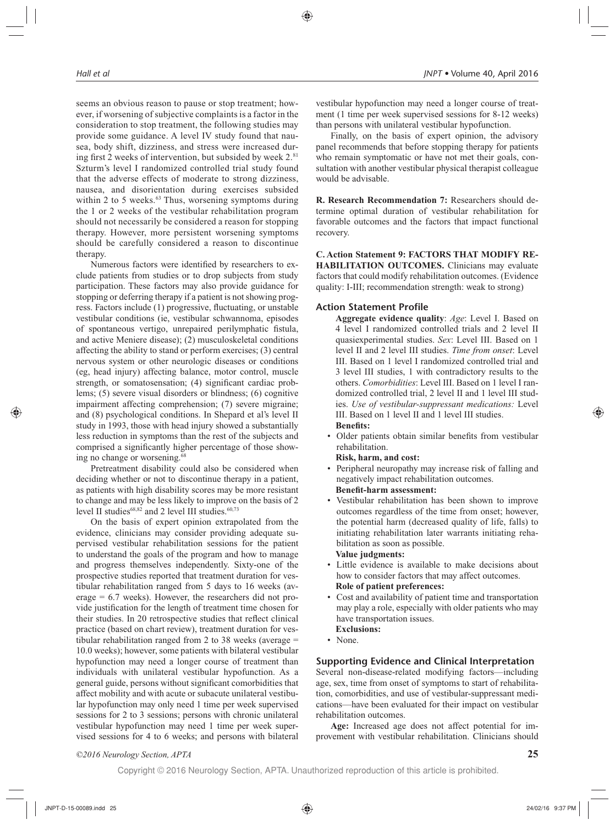seems an obvious reason to pause or stop treatment; however, if worsening of subjective complaints is a factor in the consideration to stop treatment, the following studies may provide some guidance. A level IV study found that nausea, body shift, dizziness, and stress were increased during first 2 weeks of intervention, but subsided by week  $2.^{81}$ Szturm's level I randomized controlled trial study found that the adverse effects of moderate to strong dizziness, nausea, and disorientation during exercises subsided within 2 to 5 weeks.<sup>63</sup> Thus, worsening symptoms during the 1 or 2 weeks of the vestibular rehabilitation program should not necessarily be considered a reason for stopping therapy. However, more persistent worsening symptoms should be carefully considered a reason to discontinue therapy.

Numerous factors were identified by researchers to exclude patients from studies or to drop subjects from study participation. These factors may also provide guidance for stopping or deferring therapy if a patient is not showing progress. Factors include (1) progressive, fluctuating, or unstable vestibular conditions (ie, vestibular schwannoma, episodes of spontaneous vertigo, unrepaired perilymphatic fistula, and active Meniere disease); (2) musculoskeletal conditions affecting the ability to stand or perform exercises; (3) central nervous system or other neurologic diseases or conditions (eg, head injury) affecting balance, motor control, muscle strength, or somatosensation; (4) significant cardiac problems; (5) severe visual disorders or blindness; (6) cognitive impairment affecting comprehension; (7) severe migraine; and (8) psychological conditions. In Shepard et al's level II study in 1993, those with head injury showed a substantially less reduction in symptoms than the rest of the subjects and comprised a significantly higher percentage of those showing no change or worsening.<sup>68</sup>

Pretreatment disability could also be considered when deciding whether or not to discontinue therapy in a patient, as patients with high disability scores may be more resistant to change and may be less likely to improve on the basis of 2 level II studies<sup>68,82</sup> and 2 level III studies.<sup>60,73</sup>

On the basis of expert opinion extrapolated from the evidence, clinicians may consider providing adequate supervised vestibular rehabilitation sessions for the patient to understand the goals of the program and how to manage and progress themselves independently. Sixty-one of the prospective studies reported that treatment duration for vestibular rehabilitation ranged from 5 days to 16 weeks (average = 6.7 weeks). However, the researchers did not provide justification for the length of treatment time chosen for their studies. In 20 retrospective studies that reflect clinical practice (based on chart review), treatment duration for vestibular rehabilitation ranged from 2 to 38 weeks (average = 10.0 weeks); however, some patients with bilateral vestibular hypofunction may need a longer course of treatment than individuals with unilateral vestibular hypofunction. As a general guide, persons without significant comorbidities that affect mobility and with acute or subacute unilateral vestibular hypofunction may only need 1 time per week supervised sessions for 2 to 3 sessions; persons with chronic unilateral vestibular hypofunction may need 1 time per week supervised sessions for 4 to 6 weeks; and persons with bilateral vestibular hypofunction may need a longer course of treatment (1 time per week supervised sessions for 8-12 weeks) than persons with unilateral vestibular hypofunction.

Finally, on the basis of expert opinion, the advisory panel recommends that before stopping therapy for patients who remain symptomatic or have not met their goals, consultation with another vestibular physical therapist colleague would be advisable.

**R. Research Recommendation 7:** Researchers should determine optimal duration of vestibular rehabilitation for favorable outcomes and the factors that impact functional recovery.

**C. Action Statement 9: FACTORS THAT MODIFY RE-HABILITATION OUTCOMES.** Clinicians may evaluate factors that could modify rehabilitation outcomes. (Evidence quality: I-III; recommendation strength: weak to strong)

#### **Action Statement Profile**

**Aggregate evidence quality**: *Age*: Level I. Based on 4 level I randomized controlled trials and 2 level II quasiexperimental studies. *Sex*: Level III. Based on 1 level II and 2 level III studies. *Time from onset*: Level III. Based on 1 level I randomized controlled trial and 3 level III studies, 1 with contradictory results to the others. *Comorbidities*: Level III. Based on 1 level I randomized controlled trial, 2 level II and 1 level III studies. *Use of vestibular-suppressant medications:* Level III. Based on 1 level II and 1 level III studies. **Benefits:** 

- Older patients obtain similar benefits from vestibular rehabilitation.
	- **Risk, harm, and cost:**
- Peripheral neuropathy may increase risk of falling and negatively impact rehabilitation outcomes. **Benefit-harm assessment:**
- Vestibular rehabilitation has been shown to improve outcomes regardless of the time from onset; however, the potential harm (decreased quality of life, falls) to initiating rehabilitation later warrants initiating rehabilitation as soon as possible.

#### **Value judgments:**

- Little evidence is available to make decisions about how to consider factors that may affect outcomes. **Role of patient preferences:**
- Cost and availability of patient time and transportation may play a role, especially with older patients who may have transportation issues.

#### **Exclusions:**

• None.

#### **Supporting Evidence and Clinical Interpretation**

Several non-disease-related modifying factors—including age, sex, time from onset of symptoms to start of rehabilitation, comorbidities, and use of vestibular-suppressant medications—have been evaluated for their impact on vestibular rehabilitation outcomes.

**Age:** Increased age does not affect potential for improvement with vestibular rehabilitation. Clinicians should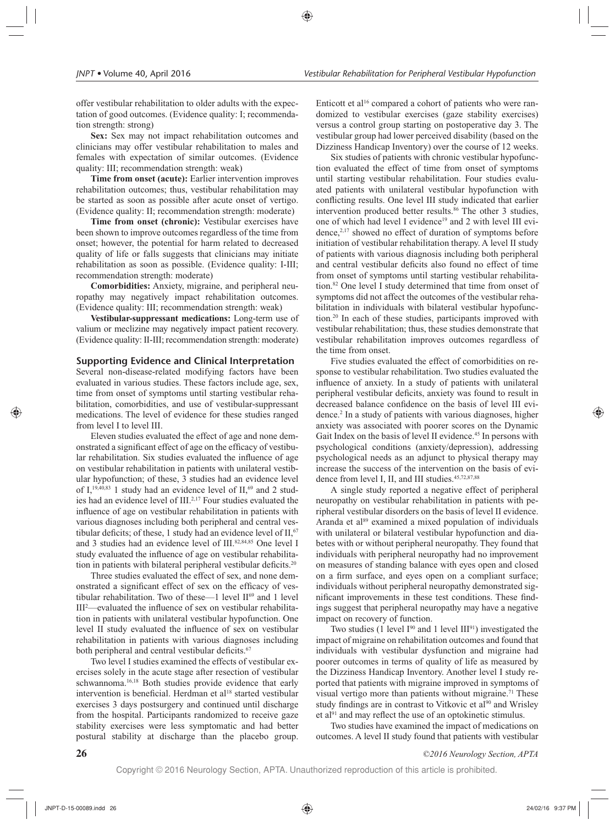offer vestibular rehabilitation to older adults with the expectation of good outcomes. (Evidence quality: I; recommendation strength: strong)

**Sex:** Sex may not impact rehabilitation outcomes and clinicians may offer vestibular rehabilitation to males and females with expectation of similar outcomes. (Evidence quality: III; recommendation strength: weak)

**Time from onset (acute):** Earlier intervention improves rehabilitation outcomes; thus, vestibular rehabilitation may be started as soon as possible after acute onset of vertigo. (Evidence quality: II; recommendation strength: moderate)

**Time from onset (chronic):** Vestibular exercises have been shown to improve outcomes regardless of the time from onset; however, the potential for harm related to decreased quality of life or falls suggests that clinicians may initiate rehabilitation as soon as possible. (Evidence quality: I-III; recommendation strength: moderate)

**Comorbidities:** Anxiety, migraine, and peripheral neuropathy may negatively impact rehabilitation outcomes. (Evidence quality: III; recommendation strength: weak)

**Vestibular-suppressant medications:** Long-term use of valium or meclizine may negatively impact patient recovery. (Evidence quality: II-III; recommendation strength: moderate)

#### **Supporting Evidence and Clinical Interpretation**

Several non-disease-related modifying factors have been evaluated in various studies. These factors include age, sex, time from onset of symptoms until starting vestibular rehabilitation, comorbidities, and use of vestibular-suppressant medications. The level of evidence for these studies ranged from level I to level III.

Eleven studies evaluated the effect of age and none demonstrated a significant effect of age on the efficacy of vestibular rehabilitation. Six studies evaluated the influence of age on vestibular rehabilitation in patients with unilateral vestibular hypofunction; of these, 3 studies had an evidence level of  $I$ ,<sup>19,40,83</sup> 1 study had an evidence level of  $II$ ,<sup>69</sup> and 2 studies had an evidence level of III.<sup>2,17</sup> Four studies evaluated the influence of age on vestibular rehabilitation in patients with various diagnoses including both peripheral and central vestibular deficits; of these, 1 study had an evidence level of  $II$ ,<sup>67</sup> and 3 studies had an evidence level of III.82,84,85 One level I study evaluated the influence of age on vestibular rehabilitation in patients with bilateral peripheral vestibular deficits.<sup>20</sup>

Three studies evaluated the effect of sex, and none demonstrated a significant effect of sex on the efficacy of vestibular rehabilitation. Two of these-1 level II<sup>69</sup> and 1 level III<sup>2</sup>—evaluated the influence of sex on vestibular rehabilitation in patients with unilateral vestibular hypofunction. One level II study evaluated the influence of sex on vestibular rehabilitation in patients with various diagnoses including both peripheral and central vestibular deficits.<sup>67</sup>

Two level I studies examined the effects of vestibular exercises solely in the acute stage after resection of vestibular schwannoma.16,18 Both studies provide evidence that early intervention is beneficial. Herdman et al<sup>18</sup> started vestibular exercises 3 days postsurgery and continued until discharge from the hospital. Participants randomized to receive gaze stability exercises were less symptomatic and had better postural stability at discharge than the placebo group.

Enticott et al<sup>16</sup> compared a cohort of patients who were randomized to vestibular exercises (gaze stability exercises) versus a control group starting on postoperative day 3. The vestibular group had lower perceived disability (based on the Dizziness Handicap Inventory) over the course of 12 weeks.

Six studies of patients with chronic vestibular hypofunction evaluated the effect of time from onset of symptoms until starting vestibular rehabilitation. Four studies evaluated patients with unilateral vestibular hypofunction with conflicting results. One level III study indicated that earlier intervention produced better results.<sup>86</sup> The other 3 studies, one of which had level I evidence<sup>19</sup> and 2 with level III evidence,<sup>2,17</sup> showed no effect of duration of symptoms before initiation of vestibular rehabilitation therapy. A level II study of patients with various diagnosis including both peripheral and central vestibular deficits also found no effect of time from onset of symptoms until starting vestibular rehabilitation.82 One level I study determined that time from onset of symptoms did not affect the outcomes of the vestibular rehabilitation in individuals with bilateral vestibular hypofunction.20 In each of these studies, participants improved with vestibular rehabilitation; thus, these studies demonstrate that vestibular rehabilitation improves outcomes regardless of the time from onset.

Five studies evaluated the effect of comorbidities on response to vestibular rehabilitation. Two studies evaluated the influence of anxiety. In a study of patients with unilateral peripheral vestibular deficits, anxiety was found to result in decreased balance confidence on the basis of level III evidence.2 In a study of patients with various diagnoses, higher anxiety was associated with poorer scores on the Dynamic Gait Index on the basis of level II evidence.<sup>45</sup> In persons with psychological conditions (anxiety/depression), addressing psychological needs as an adjunct to physical therapy may increase the success of the intervention on the basis of evidence from level I, II, and III studies.<sup>45,72,87,88</sup>

A single study reported a negative effect of peripheral neuropathy on vestibular rehabilitation in patients with peripheral vestibular disorders on the basis of level II evidence. Aranda et al<sup>89</sup> examined a mixed population of individuals with unilateral or bilateral vestibular hypofunction and diabetes with or without peripheral neuropathy. They found that individuals with peripheral neuropathy had no improvement on measures of standing balance with eyes open and closed on a firm surface, and eyes open on a compliant surface; individuals without peripheral neuropathy demonstrated significant improvements in these test conditions. These findings suggest that peripheral neuropathy may have a negative impact on recovery of function.

Two studies (1 level  $I<sup>90</sup>$  and 1 level  $III<sup>91</sup>$ ) investigated the impact of migraine on rehabilitation outcomes and found that individuals with vestibular dysfunction and migraine had poorer outcomes in terms of quality of life as measured by the Dizziness Handicap Inventory. Another level I study reported that patients with migraine improved in symptoms of visual vertigo more than patients without migraine.<sup>71</sup> These study findings are in contrast to Vitkovic et al<sup>90</sup> and Wrisley et al $91$  and may reflect the use of an optokinetic stimulus.

Two studies have examined the impact of medications on outcomes. A level II study found that patients with vestibular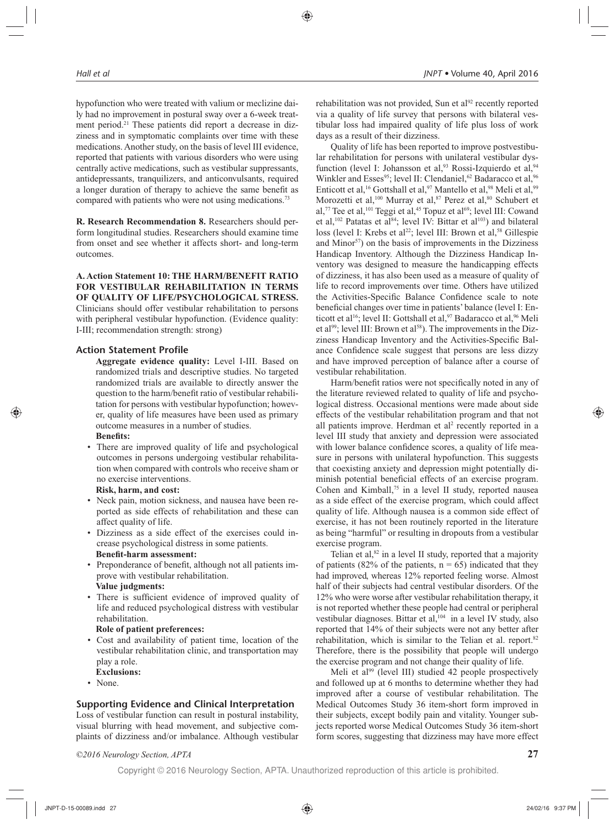hypofunction who were treated with valium or meclizine daily had no improvement in postural sway over a 6-week treatment period.21 These patients did report a decrease in dizziness and in symptomatic complaints over time with these medications. Another study, on the basis of level III evidence, reported that patients with various disorders who were using centrally active medications, such as vestibular suppressants, antidepressants, tranquilizers, and anticonvulsants, required a longer duration of therapy to achieve the same benefit as compared with patients who were not using medications.<sup>73</sup>

**R. Research Recommendation 8.** Researchers should perform longitudinal studies. Researchers should examine time from onset and see whether it affects short- and long-term outcomes.

**A. Action Statement 10: THE HARM/BENEFIT RATIO FOR VESTIBULAR REHABILITATION IN TERMS OF QUALITY OF LIFE/PSYCHOLOGICAL STRESS.** Clinicians should offer vestibular rehabilitation to persons with peripheral vestibular hypofunction. (Evidence quality: I-III; recommendation strength: strong)

#### **Action Statement Profile**

**Aggregate evidence quality:** Level I-III. Based on randomized trials and descriptive studies. No targeted randomized trials are available to directly answer the question to the harm/benefit ratio of vestibular rehabilitation for persons with vestibular hypofunction; however, quality of life measures have been used as primary outcome measures in a number of studies.

#### **Benefits:**

 • There are improved quality of life and psychological outcomes in persons undergoing vestibular rehabilitation when compared with controls who receive sham or no exercise interventions.

#### **Risk, harm, and cost:**

- Neck pain, motion sickness, and nausea have been reported as side effects of rehabilitation and these can affect quality of life.
- Dizziness as a side effect of the exercises could increase psychological distress in some patients.

#### **Benefit-harm assessment:**

• Preponderance of benefit, although not all patients improve with vestibular rehabilitation.

#### **Value judgments:**

• There is sufficient evidence of improved quality of life and reduced psychological distress with vestibular rehabilitation.

#### **Role of patient preferences:**

 • Cost and availability of patient time, location of the vestibular rehabilitation clinic, and transportation may play a role.

#### **Exclusions:**

• None.

#### **Supporting Evidence and Clinical Interpretation**

Loss of vestibular function can result in postural instability, visual blurring with head movement, and subjective complaints of dizziness and/or imbalance. Although vestibular rehabilitation was not provided, Sun et al<sup>92</sup> recently reported via a quality of life survey that persons with bilateral vestibular loss had impaired quality of life plus loss of work days as a result of their dizziness.

Quality of life has been reported to improve postvestibular rehabilitation for persons with unilateral vestibular dysfunction (level I: Johansson et al,  $93$  Rossi-Izquierdo et al,  $94$ Winkler and Esses<sup>95</sup>; level II: Clendaniel,<sup>62</sup> Badaracco et al,<sup>96</sup> Enticott et al,<sup>16</sup> Gottshall et al,<sup>97</sup> Mantello et al,<sup>98</sup> Meli et al,<sup>99</sup> Morozetti et al,<sup>100</sup> Murray et al,<sup>87</sup> Perez et al,<sup>80</sup> Schubert et al,<sup>77</sup> Tee et al,<sup>101</sup> Teggi et al,<sup>45</sup> Topuz et al<sup>69</sup>; level III: Cowand et al,<sup>102</sup> Patatas et al<sup>84</sup>; level IV: Bittar et al<sup>103</sup>) and bilateral loss (level I: Krebs et al<sup>22</sup>; level III: Brown et al,<sup>58</sup> Gillespie and Minor<sup>57</sup>) on the basis of improvements in the Dizziness Handicap Inventory. Although the Dizziness Handicap Inventory was designed to measure the handicapping effects of dizziness, it has also been used as a measure of quality of life to record improvements over time. Others have utilized the Activities-Specific Balance Confidence scale to note beneficial changes over time in patients' balance (level I: Enticott et al<sup>16</sup>; level II: Gottshall et al,<sup>97</sup> Badaracco et al,<sup>96</sup> Meli et al<sup>99</sup>; level III: Brown et al<sup>58</sup>). The improvements in the Dizziness Handicap Inventory and the Activities-Specific Balance Confidence scale suggest that persons are less dizzy and have improved perception of balance after a course of vestibular rehabilitation.

Harm/benefit ratios were not specifically noted in any of the literature reviewed related to quality of life and psychological distress. Occasional mentions were made about side effects of the vestibular rehabilitation program and that not all patients improve. Herdman et  $al^2$  recently reported in a level III study that anxiety and depression were associated with lower balance confidence scores, a quality of life measure in persons with unilateral hypofunction. This suggests that coexisting anxiety and depression might potentially diminish potential beneficial effects of an exercise program. Cohen and Kimball, $^{75}$  in a level II study, reported nausea as a side effect of the exercise program, which could affect quality of life. Although nausea is a common side effect of exercise, it has not been routinely reported in the literature as being "harmful" or resulting in dropouts from a vestibular exercise program.

Telian et al, $82$  in a level II study, reported that a majority of patients (82% of the patients,  $n = 65$ ) indicated that they had improved, whereas 12% reported feeling worse. Almost half of their subjects had central vestibular disorders. Of the 12% who were worse after vestibular rehabilitation therapy, it is not reported whether these people had central or peripheral vestibular diagnoses. Bittar et al,<sup>104</sup> in a level IV study, also reported that 14% of their subjects were not any better after rehabilitation, which is similar to the Telian et al. report.<sup>82</sup> Therefore, there is the possibility that people will undergo the exercise program and not change their quality of life.

Meli et al<sup>99</sup> (level III) studied 42 people prospectively and followed up at 6 months to determine whether they had improved after a course of vestibular rehabilitation. The Medical Outcomes Study 36 item-short form improved in their subjects, except bodily pain and vitality. Younger subjects reported worse Medical Outcomes Study 36 item-short form scores, suggesting that dizziness may have more effect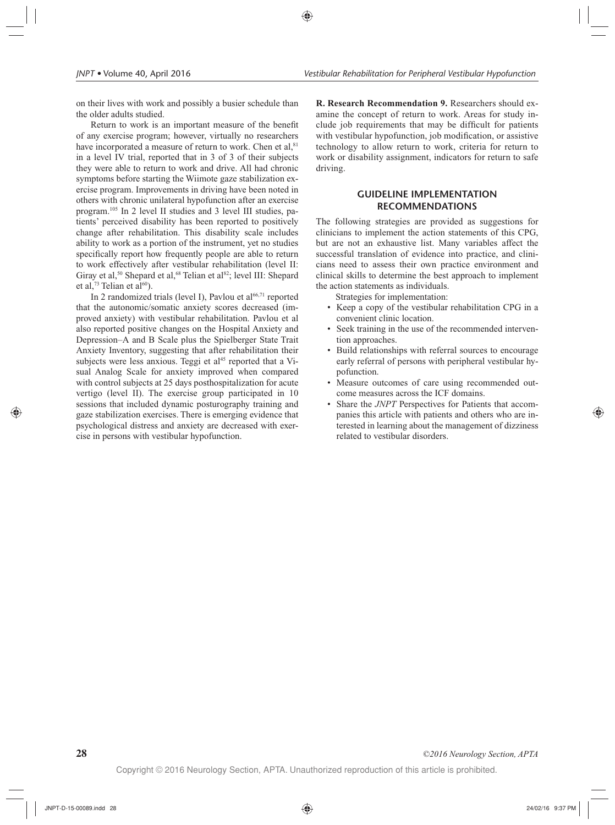on their lives with work and possibly a busier schedule than the older adults studied.

Return to work is an important measure of the benefit of any exercise program; however, virtually no researchers have incorporated a measure of return to work. Chen et al,<sup>81</sup> in a level IV trial, reported that in 3 of 3 of their subjects they were able to return to work and drive. All had chronic symptoms before starting the Wiimote gaze stabilization exercise program. Improvements in driving have been noted in others with chronic unilateral hypofunction after an exercise program.105 In 2 level II studies and 3 level III studies, patients' perceived disability has been reported to positively change after rehabilitation. This disability scale includes ability to work as a portion of the instrument, yet no studies specifically report how frequently people are able to return to work effectively after vestibular rehabilitation (level II: Giray et al,<sup>50</sup> Shepard et al,<sup>68</sup> Telian et al<sup>82</sup>; level III: Shepard et al,<sup>73</sup> Telian et al<sup>60</sup>).

In 2 randomized trials (level I), Pavlou et  $a^{166,71}$  reported that the autonomic/somatic anxiety scores decreased (improved anxiety) with vestibular rehabilitation. Pavlou et al also reported positive changes on the Hospital Anxiety and Depression–A and B Scale plus the Spielberger State Trait Anxiety Inventory, suggesting that after rehabilitation their subjects were less anxious. Teggi et al<sup>45</sup> reported that a Visual Analog Scale for anxiety improved when compared with control subjects at 25 days posthospitalization for acute vertigo (level II). The exercise group participated in 10 sessions that included dynamic posturography training and gaze stabilization exercises. There is emerging evidence that psychological distress and anxiety are decreased with exercise in persons with vestibular hypofunction.

**R. Research Recommendation 9.** Researchers should examine the concept of return to work. Areas for study include job requirements that may be difficult for patients with vestibular hypofunction, job modification, or assistive technology to allow return to work, criteria for return to work or disability assignment, indicators for return to safe driving.

#### **GUIDELINE IMPLEMENTATION RECOMMENDATIONS**

The following strategies are provided as suggestions for clinicians to implement the action statements of this CPG, but are not an exhaustive list. Many variables affect the successful translation of evidence into practice, and clinicians need to assess their own practice environment and clinical skills to determine the best approach to implement the action statements as individuals.

Strategies for implementation:

- Keep a copy of the vestibular rehabilitation CPG in a convenient clinic location.
- Seek training in the use of the recommended intervention approaches.
- Build relationships with referral sources to encourage early referral of persons with peripheral vestibular hypofunction.
- Measure outcomes of care using recommended outcome measures across the ICF domains.
- Share the *JNPT* Perspectives for Patients that accompanies this article with patients and others who are interested in learning about the management of dizziness related to vestibular disorders.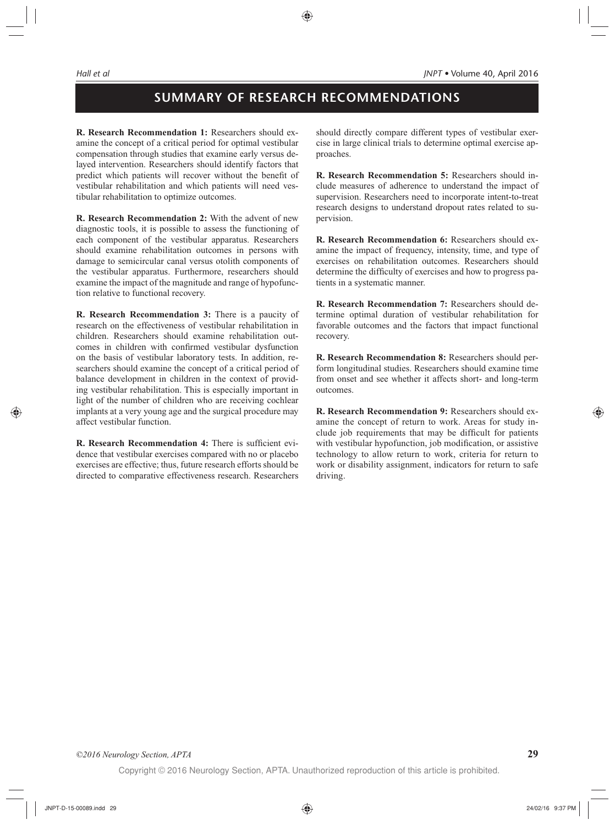## **SUMMARY OF RESEARCH RECOMMENDATIONS**

**R. Research Recommendation 1:** Researchers should examine the concept of a critical period for optimal vestibular compensation through studies that examine early versus delayed intervention. Researchers should identify factors that predict which patients will recover without the benefit of vestibular rehabilitation and which patients will need vestibular rehabilitation to optimize outcomes.

**R. Research Recommendation 2:** With the advent of new diagnostic tools, it is possible to assess the functioning of each component of the vestibular apparatus. Researchers should examine rehabilitation outcomes in persons with damage to semicircular canal versus otolith components of the vestibular apparatus. Furthermore, researchers should examine the impact of the magnitude and range of hypofunction relative to functional recovery.

**R. Research Recommendation 3:** There is a paucity of research on the effectiveness of vestibular rehabilitation in children. Researchers should examine rehabilitation outcomes in children with confirmed vestibular dysfunction on the basis of vestibular laboratory tests. In addition, researchers should examine the concept of a critical period of balance development in children in the context of providing vestibular rehabilitation. This is especially important in light of the number of children who are receiving cochlear implants at a very young age and the surgical procedure may affect vestibular function.

**R. Research Recommendation 4:** There is sufficient evidence that vestibular exercises compared with no or placebo exercises are effective; thus, future research efforts should be directed to comparative effectiveness research. Researchers should directly compare different types of vestibular exercise in large clinical trials to determine optimal exercise approaches.

**R. Research Recommendation 5:** Researchers should include measures of adherence to understand the impact of supervision. Researchers need to incorporate intent-to-treat research designs to understand dropout rates related to supervision.

**R. Research Recommendation 6:** Researchers should examine the impact of frequency, intensity, time, and type of exercises on rehabilitation outcomes. Researchers should determine the difficulty of exercises and how to progress patients in a systematic manner.

**R. Research Recommendation 7:** Researchers should determine optimal duration of vestibular rehabilitation for favorable outcomes and the factors that impact functional recovery.

**R. Research Recommendation 8:** Researchers should perform longitudinal studies. Researchers should examine time from onset and see whether it affects short- and long-term outcomes.

**R. Research Recommendation 9:** Researchers should examine the concept of return to work. Areas for study include job requirements that may be difficult for patients with vestibular hypofunction, job modification, or assistive technology to allow return to work, criteria for return to work or disability assignment, indicators for return to safe driving.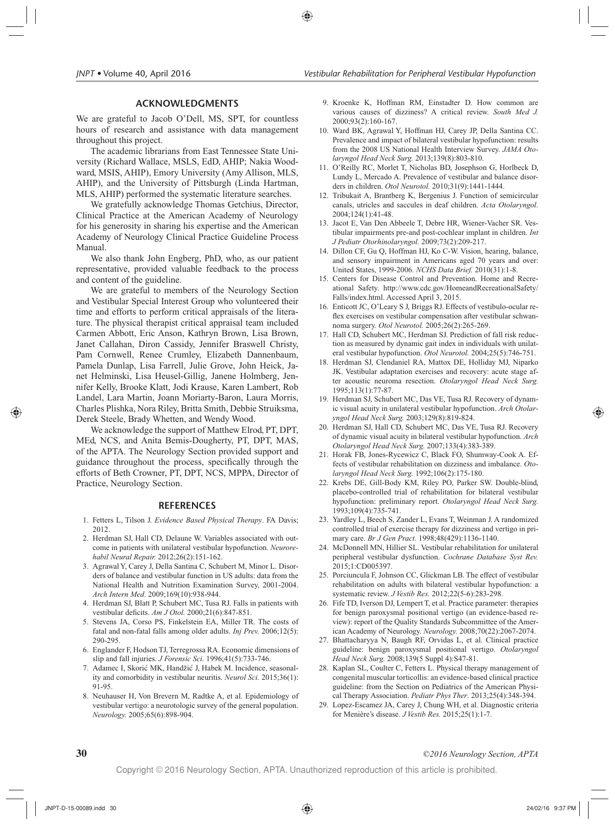#### **ACKNOWLEDGMENTS**

We are grateful to Jacob O'Dell, MS, SPT, for countless hours of research and assistance with data management throughout this project.

The academic librarians from East Tennessee State University (Richard Wallace, MSLS, EdD, AHIP; Nakia Woodward, MSIS, AHIP), Emory University (Amy Allison, MLS, AHIP), and the University of Pittsburgh (Linda Hartman, MLS, AHIP) performed the systematic literature searches.

We gratefully acknowledge Thomas Getchius, Director, Clinical Practice at the American Academy of Neurology for his generosity in sharing his expertise and the American Academy of Neurology Clinical Practice Guideline Process Manual.

We also thank John Engberg, PhD, who, as our patient representative, provided valuable feedback to the process and content of the guideline.

We are grateful to members of the Neurology Section and Vestibular Special Interest Group who volunteered their time and efforts to perform critical appraisals of the literature. The physical therapist critical appraisal team included Carmen Abbott, Eric Anson, Kathryn Brown, Lisa Brown, Janet Callahan, Diron Cassidy, Jennifer Braswell Christy, Pam Cornwell, Renee Crumley, Elizabeth Dannenbaum, Pamela Dunlap, Lisa Farrell, Julie Grove, John Heick, Janet Helminski, Lisa Heusel-Gillig, Janene Holmberg, Jennifer Kelly, Brooke Klatt, Jodi Krause, Karen Lambert, Rob Landel, Lara Martin, Joann Moriarty-Baron, Laura Morris, Charles Plishka, Nora Riley, Britta Smith, Debbie Struiksma, Derek Steele, Brady Whetten, and Wendy Wood.

We acknowledge the support of Matthew Elrod, PT, DPT, MEd, NCS, and Anita Bemis-Dougherty, PT, DPT, MAS, of the APTA. The Neurology Section provided support and guidance throughout the process, specifically through the efforts of Beth Crowner, PT, DPT, NCS, MPPA, Director of Practice, Neurology Section.

#### **REFERENCES**

- 1. Fetters L, Tilson J. *Evidence Based Physical Therapy*. FA Davis; 2012.
- 2. Herdman SJ, Hall CD, Delaune W. Variables associated with outcome in patients with unilateral vestibular hypofunction. *Neurorehabil Neural Repair.* 2012;26(2):151-162.
- 3. Agrawal Y, Carey J, Della Santina C, Schubert M, Minor L. Disorders of balance and vestibular function in US adults: data from the National Health and Nutrition Examination Survey, 2001-2004. *Arch Intern Med*. 2009;169(10):938-944.
- 4. Herdman SJ, Blatt P, Schubert MC, Tusa RJ. Falls in patients with vestibular deficits. *Am J Otol.* 2000;21(6):847-851.
- 5. Stevens JA, Corso PS, Finkelstein EA, Miller TR. The costs of fatal and non-fatal falls among older adults. *Inj Prev.* 2006;12(5): 290-295.
- 6. Englander F, Hodson TJ, Terregrossa RA. Economic dimensions of slip and fall injuries. *J Forensic Sci.* 1996;41(5):733-746.
- 7. Adamec I, Skoric´ MK, Handžic´ J, Habek M. Incidence, seasonality and comorbidity in vestibular neuritis. *Neurol Sci.* 2015;36(1): 91-95.
- 8. Neuhauser H, Von Brevern M, Radtke A, et al. Epidemiology of vestibular vertigo: a neurotologic survey of the general population. *Neurology.* 2005;65(6):898-904.
- 9. Kroenke K, Hoffman RM, Einstadter D. How common are various causes of dizziness? A critical review. *South Med J.* 2000;93(2):160-167.
- 10. Ward BK, Agrawal Y, Hoffman HJ, Carey JP, Della Santina CC. Prevalence and impact of bilateral vestibular hypofunction: results from the 2008 US National Health Interview Survey. *JAMA Otolaryngol Head Neck Surg.* 2013;139(8):803-810.
- 11. O'Reilly RC, Morlet T, Nicholas BD, Josephson G, Horlbeck D, Lundy L, Mercado A. Prevalence of vestibular and balance disorders in children. *Otol Neurotol.* 2010;31(9):1441-1444.
- 12. Tribukait A, Brantberg K, Bergenius J. Function of semicircular canals, utricles and saccules in deaf children. *Acta Otolaryngol.* 2004;124(1):41-48.
- 13. Jacot E, Van Den Abbeele T, Debre HR, Wiener-Vacher SR. Vestibular impairments pre-and post-cochlear implant in children. *Int J Pediatr Otorhinolaryngol.* 2009;73(2):209-217.
- 14. Dillon CF, Gu Q, Hoffman HJ, Ko C-W. Vision, hearing, balance, and sensory impairment in Americans aged 70 years and over: United States, 1999-2006. *NCHS Data Brief.* 2010(31):1-8.
- 15. Centers for Disease Control and Prevention. Home and Recreational Safety. http://www.cdc.gov/HomeandRecreationalSafety/ Falls/index.html. Accessed April 3, 2015.
- 16. Enticott JC, O'Leary S J, Briggs RJ. Effects of vestibulo-ocular reflex exercises on vestibular compensation after vestibular schwannoma surgery. *Otol Neurotol.* 2005;26(2):265-269.
- 17. Hall CD, Schubert MC, Herdman SJ. Prediction of fall risk reduction as measured by dynamic gait index in individuals with unilateral vestibular hypofunction. *Otol Neurotol.* 2004;25(5):746-751.
- 18. Herdman SJ, Clendaniel RA, Mattox DE, Holliday MJ, Niparko JK. Vestibular adaptation exercises and recovery: acute stage after acoustic neuroma resection. *Otolaryngol Head Neck Surg.* 1995;113(1):77-87.
- 19. Herdman SJ, Schubert MC, Das VE, Tusa RJ. Recovery of dynamic visual acuity in unilateral vestibular hypofunction. *Arch Otolaryngol Head Neck Surg.* 2003;129(8):819-824.
- 20. Herdman SJ, Hall CD, Schubert MC, Das VE, Tusa RJ. Recovery of dynamic visual acuity in bilateral vestibular hypofunction. *Arch Otolaryngol Head Neck Surg.* 2007;133(4):383-389.
- 21. Horak FB, Jones-Rycewicz C, Black FO, Shumway-Cook A. Effects of vestibular rehabilitation on dizziness and imbalance. *Otolaryngol Head Neck Surg.* 1992;106(2):175-180.
- 22. Krebs DE, Gill-Body KM, Riley PO, Parker SW. Double-blind, placebo-controlled trial of rehabilitation for bilateral vestibular hypofunction: preliminary report. *Otolaryngol Head Neck Surg.* 1993;109(4):735-741.
- 23. Yardley L, Beech S, Zander L, Evans T, Weinman J. A randomized controlled trial of exercise therapy for dizziness and vertigo in primary care. *Br J Gen Pract.* 1998;48(429):1136-1140.
- 24. McDonnell MN, Hillier SL. Vestibular rehabilitation for unilateral peripheral vestibular dysfunction. *Cochrane Database Syst Rev.* 2015;1:CD005397.
- 25. Porciuncula F, Johnson CC, Glickman LB. The effect of vestibular rehabilitation on adults with bilateral vestibular hypofunction: a systematic review. *J Vestib Res.* 2012;22(5-6):283-298.
- 26. Fife TD, Iverson DJ, Lempert T, et al. Practice parameter: therapies for benign paroxysmal positional vertigo (an evidence-based review): report of the Quality Standards Subcommittee of the American Academy of Neurology. *Neurology.* 2008;70(22):2067-2074.
- 27. Bhattacharyya N, Baugh RF, Orvidas L, et al. Clinical practice guideline: benign paroxysmal positional vertigo. *Otolaryngol Head Neck Surg.* 2008;139(5 Suppl 4):S47-81.
- 28. Kaplan SL, Coulter C, Fetters L. Physical therapy management of congenital muscular torticollis: an evidence-based clinical practice guideline: from the Section on Pediatrics of the American Physical Therapy Association. *Pediatr Phys Ther*. 2013;25(4):348-394.
- 29. Lopez-Escamez JA, Carey J, Chung WH, et al. Diagnostic criteria for Menière's disease. *J Vestib Res.* 2015;25(1):1-7.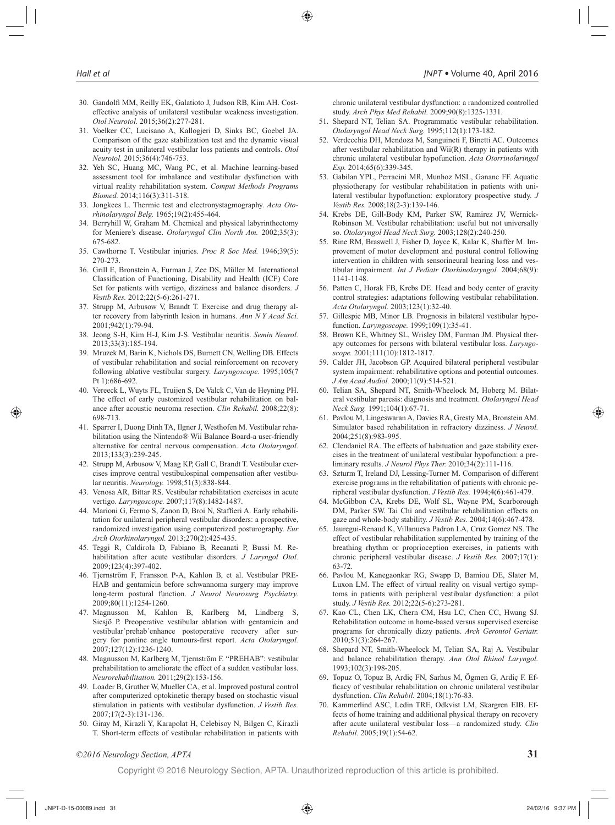- 30. Gandolfi MM, Reilly EK, Galatioto J, Judson RB, Kim AH. Costeffective analysis of unilateral vestibular weakness investigation. *Otol Neurotol.* 2015;36(2):277-281.
- 31. Voelker CC, Lucisano A, Kallogjeri D, Sinks BC, Goebel JA. Comparison of the gaze stabilization test and the dynamic visual acuity test in unilateral vestibular loss patients and controls. *Otol Neurotol.* 2015;36(4):746-753.
- 32. Yeh SC, Huang MC, Wang PC, et al. Machine learning-based assessment tool for imbalance and vestibular dysfunction with virtual reality rehabilitation system. *Comput Methods Programs Biomed.* 2014;116(3):311-318.
- 33. Jongkees L. Thermic test and electronystagmography. *Acta Otorhinolaryngol Belg.* 1965;19(2):455-464.
- 34. Berryhill W, Graham M. Chemical and physical labyrinthectomy for Meniere's disease. *Otolaryngol Clin North Am.* 2002;35(3): 675-682.
- 35. Cawthorne T. Vestibular injuries. *Proc R Soc Med.* 1946;39(5): 270-273.
- 36. Grill E, Bronstein A, Furman J, Zee DS, Müller M. International Classification of Functioning, Disability and Health (ICF) Core Set for patients with vertigo, dizziness and balance disorders. *J Vestib Res.* 2012;22(5-6):261-271.
- 37. Strupp M, Arbusow V, Brandt T. Exercise and drug therapy alter recovery from labyrinth lesion in humans. *Ann N Y Acad Sci.* 2001;942(1):79-94.
- 38. Jeong S-H, Kim H-J, Kim J-S. Vestibular neuritis. *Semin Neurol.* 2013;33(3):185-194.
- 39. Mruzek M, Barin K, Nichols DS, Burnett CN, Welling DB. Effects of vestibular rehabilitation and social reinforcement on recovery following ablative vestibular surgery. *Laryngoscope.* 1995;105(7 Pt 1):686-692.
- 40. Vereeck L, Wuyts FL, Truijen S, De Valck C, Van de Heyning PH. The effect of early customized vestibular rehabilitation on balance after acoustic neuroma resection. *Clin Rehabil.* 2008;22(8): 698-713.
- 41. Sparrer I, Duong Dinh TA, Ilgner J, Westhofen M. Vestibular rehabilitation using the Nintendo® Wii Balance Board-a user-friendly alternative for central nervous compensation. *Acta Otolaryngol.* 2013;133(3):239-245.
- 42. Strupp M, Arbusow V, Maag KP, Gall C, Brandt T. Vestibular exercises improve central vestibulospinal compensation after vestibular neuritis. *Neurology.* 1998;51(3):838-844.
- 43. Venosa AR, Bittar RS. Vestibular rehabilitation exercises in acute vertigo. *Laryngoscope.* 2007;117(8):1482-1487.
- 44. Marioni G, Fermo S, Zanon D, Broi N, Staffieri A. Early rehabilitation for unilateral peripheral vestibular disorders: a prospective, randomized investigation using computerized posturography. *Eur Arch Otorhinolaryngol.* 2013;270(2):425-435.
- 45. Teggi R, Caldirola D, Fabiano B, Recanati P, Bussi M. Rehabilitation after acute vestibular disorders. *J Laryngol Otol.* 2009;123(4):397-402.
- 46. Tjernström F, Fransson P-A, Kahlon B, et al. Vestibular PRE-HAB and gentamicin before schwannoma surgery may improve long-term postural function. *J Neurol Neurosurg Psychiatry.* 2009;80(11):1254-1260.
- 47. Magnusson M, Kahlon B, Karlberg M, Lindberg S, Siesjö P. Preoperative vestibular ablation with gentamicin and vestibular'prehab'enhance postoperative recovery after surgery for pontine angle tumours-first report. Acta Otolaryngol. 2007;127(12):1236-1240.
- 48. Magnusson M, Karlberg M, Tjernström F. "PREHAB": vestibular prehabilitation to ameliorate the effect of a sudden vestibular loss. *Neurorehabilitation.* 2011;29(2):153-156.
- 49. Loader B, Gruther W, Mueller CA, et al. Improved postural control after computerized optokinetic therapy based on stochastic visual stimulation in patients with vestibular dysfunction. *J Vestib Res.* 2007;17(2-3):131-136.
- 50. Giray M, Kirazli Y, Karapolat H, Celebisoy N, Bilgen C, Kirazli T. Short-term effects of vestibular rehabilitation in patients with

chronic unilateral vestibular dysfunction: a randomized controlled study. *Arch Phys Med Rehabil.* 2009;90(8):1325-1331.

- 51. Shepard NT, Telian SA. Programmatic vestibular rehabilitation. *Otolaryngol Head Neck Surg.* 1995;112(1):173-182.
- 52. Verdecchia DH, Mendoza M, Sanguineti F, Binetti AC. Outcomes after vestibular rehabilitation and Wii(R) therapy in patients with chronic unilateral vestibular hypofunction. *Acta Otorrinolaringol Esp.* 2014;65(6):339-345.
- 53. Gabilan YPL, Perracini MR, Munhoz MSL, Gananc FF. Aquatic physiotherapy for vestibular rehabilitation in patients with unilateral vestibular hypofunction: exploratory prospective study. *J Vestib Res.* 2008;18(2-3):139-146.
- 54. Krebs DE, Gill-Body KM, Parker SW, Ramirez JV, Wernick-Robinson M. Vestibular rehabilitation: useful but not universally so. *Otolaryngol Head Neck Surg.* 2003;128(2):240-250.
- 55. Rine RM, Braswell J, Fisher D, Joyce K, Kalar K, Shaffer M. Improvement of motor development and postural control following intervention in children with sensorineural hearing loss and vestibular impairment. *Int J Pediatr Otorhinolaryngol.* 2004;68(9): 1141-1148.
- 56. Patten C, Horak FB, Krebs DE. Head and body center of gravity control strategies: adaptations following vestibular rehabilitation. *Acta Otolaryngol.* 2003;123(1):32-40.
- 57. Gillespie MB, Minor LB. Prognosis in bilateral vestibular hypofunction. *Laryngoscope.* 1999;109(1):35-41.
- 58. Brown KE, Whitney SL, Wrisley DM, Furman JM. Physical therapy outcomes for persons with bilateral vestibular loss. *Laryngoscope.* 2001;111(10):1812-1817.
- 59. Calder JH, Jacobson GP. Acquired bilateral peripheral vestibular system impairment: rehabilitative options and potential outcomes. *J Am Acad Audiol.* 2000;11(9):514-521.
- 60. Telian SA, Shepard NT, Smith-Wheelock M, Hoberg M. Bilateral vestibular paresis: diagnosis and treatment. *Otolaryngol Head Neck Surg.* 1991;104(1):67-71.
- 61. Pavlou M, Lingeswaran A, Davies RA, Gresty MA, Bronstein AM. Simulator based rehabilitation in refractory dizziness. *J Neurol.* 2004;251(8):983-995.
- 62. Clendaniel RA. The effects of habituation and gaze stability exercises in the treatment of unilateral vestibular hypofunction: a preliminary results. *J Neurol Phys Ther.* 2010;34(2):111-116.
- 63. Szturm T, Ireland DJ, Lessing-Turner M. Comparison of different exercise programs in the rehabilitation of patients with chronic peripheral vestibular dysfunction. *J Vestib Res.* 1994;4(6):461-479.
- 64. McGibbon CA, Krebs DE, Wolf SL, Wayne PM, Scarborough DM, Parker SW. Tai Chi and vestibular rehabilitation effects on gaze and whole-body stability. *J Vestib Res.* 2004;14(6):467-478.
- 65. Jauregui-Renaud K, Villanueva Padron LA, Cruz Gomez NS. The effect of vestibular rehabilitation supplemented by training of the breathing rhythm or proprioception exercises, in patients with chronic peripheral vestibular disease. *J Vestib Res.* 2007;17(1): 63-72.
- 66. Pavlou M, Kanegaonkar RG, Swapp D, Bamiou DE, Slater M, Luxon LM. The effect of virtual reality on visual vertigo symptoms in patients with peripheral vestibular dysfunction: a pilot study. *J Vestib Res.* 2012;22(5-6):273-281.
- 67. Kao CL, Chen LK, Chern CM, Hsu LC, Chen CC, Hwang SJ. Rehabilitation outcome in home-based versus supervised exercise programs for chronically dizzy patients. *Arch Gerontol Geriatr.* 2010;51(3):264-267.
- 68. Shepard NT, Smith-Wheelock M, Telian SA, Raj A. Vestibular and balance rehabilitation therapy. *Ann Otol Rhinol Laryngol.* 1993;102(3):198-205.
- 69. Topuz O, Topuz B, Ardiç FN, Sarhus M, Ögmen G, Ardiç F. Efficacy of vestibular rehabilitation on chronic unilateral vestibular dysfunction. *Clin Rehabil.* 2004;18(1):76-83.
- 70. Kammerlind ASC, Ledin TRE, Odkvist LM, Skargren EIB. Effects of home training and additional physical therapy on recovery after acute unilateral vestibular loss—a randomized study. *Clin Rehabil.* 2005;19(1):54-62.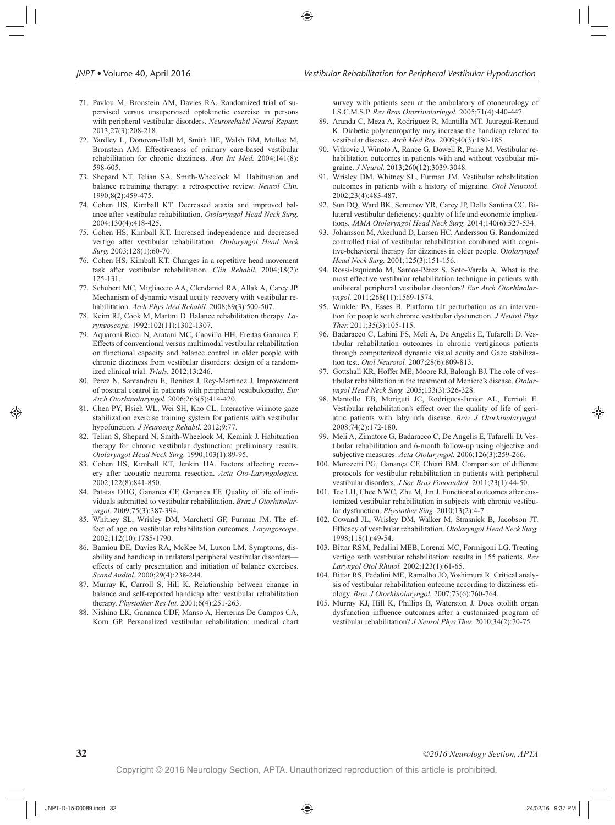- 71. Pavlou M, Bronstein AM, Davies RA. Randomized trial of supervised versus unsupervised optokinetic exercise in persons with peripheral vestibular disorders. *Neurorehabil Neural Repair.* 2013;27(3):208-218.
- 72. Yardley L, Donovan-Hall M, Smith HE, Walsh BM, Mullee M, Bronstein AM. Effectiveness of primary care-based vestibular rehabilitation for chronic dizziness. *Ann Int Med.* 2004;141(8): 598-605.
- 73. Shepard NT, Telian SA, Smith-Wheelock M. Habituation and balance retraining therapy: a retrospective review. *Neurol Clin.* 1990;8(2):459-475.
- 74. Cohen HS, Kimball KT. Decreased ataxia and improved balance after vestibular rehabilitation. *Otolaryngol Head Neck Surg.* 2004;130(4):418-425.
- 75. Cohen HS, Kimball KT. Increased independence and decreased vertigo after vestibular rehabilitation. *Otolaryngol Head Neck Surg.* 2003;128(1):60-70.
- 76. Cohen HS, Kimball KT. Changes in a repetitive head movement task after vestibular rehabilitation. *Clin Rehabil.* 2004;18(2): 125-131.
- 77. Schubert MC, Migliaccio AA, Clendaniel RA, Allak A, Carey JP. Mechanism of dynamic visual acuity recovery with vestibular rehabilitation. *Arch Phys Med Rehabil.* 2008;89(3):500-507.
- 78. Keim RJ, Cook M, Martini D. Balance rehabilitation therapy. *Laryngoscope.* 1992;102(11):1302-1307.
- 79. Aquaroni Ricci N, Aratani MC, Caovilla HH, Freitas Gananca F. Effects of conventional versus multimodal vestibular rehabilitation on functional capacity and balance control in older people with chronic dizziness from vestibular disorders: design of a randomized clinical trial. *Trials.* 2012;13:246.
- 80. Perez N, Santandreu E, Benitez J, Rey-Martinez J. Improvement of postural control in patients with peripheral vestibulopathy. *Eur Arch Otorhinolaryngol.* 2006;263(5):414-420.
- 81. Chen PY, Hsieh WL, Wei SH, Kao CL. Interactive wiimote gaze stabilization exercise training system for patients with vestibular hypofunction. *J Neuroeng Rehabil.* 2012;9:77.
- 82. Telian S, Shepard N, Smith-Wheelock M, Kemink J. Habituation therapy for chronic vestibular dysfunction: preliminary results. *Otolaryngol Head Neck Surg.* 1990;103(1):89-95.
- 83. Cohen HS, Kimball KT, Jenkin HA. Factors affecting recovery after acoustic neuroma resection. *Acta Oto-Laryngologica.* 2002;122(8):841-850.
- 84. Patatas OHG, Gananca CF, Gananca FF. Quality of life of individuals submitted to vestibular rehabilitation. *Braz J Otorhinolaryngol.* 2009;75(3):387-394.
- 85. Whitney SL, Wrisley DM, Marchetti GF, Furman JM. The effect of age on vestibular rehabilitation outcomes. *Laryngoscope.* 2002;112(10):1785-1790.
- 86. Bamiou DE, Davies RA, McKee M, Luxon LM. Symptoms, disability and handicap in unilateral peripheral vestibular disorders effects of early presentation and initiation of balance exercises. *Scand Audiol.* 2000;29(4):238-244.
- 87. Murray K, Carroll S, Hill K. Relationship between change in balance and self-reported handicap after vestibular rehabilitation therapy. *Physiother Res Int.* 2001;6(4):251-263.
- 88. Nishino LK, Gananca CDF, Manso A, Herrerias De Campos CA, Korn GP. Personalized vestibular rehabilitation: medical chart

survey with patients seen at the ambulatory of otoneurology of I.S.C.M.S.P. *Rev Bras Otorrinolaringol.* 2005;71(4):440-447.

- 89. Aranda C, Meza A, Rodriguez R, Mantilla MT, Jauregui-Renaud K. Diabetic polyneuropathy may increase the handicap related to vestibular disease. *Arch Med Res.* 2009;40(3):180-185.
- 90. Vitkovic J, Winoto A, Rance G, Dowell R, Paine M. Vestibular rehabilitation outcomes in patients with and without vestibular migraine. *J Neurol.* 2013;260(12):3039-3048.
- 91. Wrisley DM, Whitney SL, Furman JM. Vestibular rehabilitation outcomes in patients with a history of migraine. *Otol Neurotol.* 2002;23(4):483-487.
- 92. Sun DQ, Ward BK, Semenov YR, Carey JP, Della Santina CC. Bilateral vestibular deficiency: quality of life and economic implications. *JAMA Otolaryngol Head Neck Surg.* 2014;140(6):527-534.
- 93. Johansson M, Akerlund D, Larsen HC, Andersson G. Randomized controlled trial of vestibular rehabilitation combined with cognitive-behavioral therapy for dizziness in older people. O*tolaryngol Head Neck Surg.* 2001;125(3):151-156.
- 94. Rossi-Izquierdo M, Santos-Pérez S, Soto-Varela A. What is the most effective vestibular rehabilitation technique in patients with unilateral peripheral vestibular disorders? *Eur Arch Otorhinolaryngol.* 2011;268(11):1569-1574.
- 95. Winkler PA, Esses B. Platform tilt perturbation as an intervention for people with chronic vestibular dysfunction. *J Neurol Phys Ther.* 2011;35(3):105-115.
- 96. Badaracco C, Labini FS, Meli A, De Angelis E, Tufarelli D. Vestibular rehabilitation outcomes in chronic vertiginous patients through computerized dynamic visual acuity and Gaze stabilization test. *Otol Neurotol.* 2007;28(6):809-813.
- 97. Gottshall KR, Hoffer ME, Moore RJ, Balough BJ. The role of vestibular rehabilitation in the treatment of Meniere's disease. *Otolaryngol Head Neck Surg.* 2005;133(3):326-328.
- 98. Mantello EB, Moriguti JC, Rodrigues-Junior AL, Ferrioli E. Vestibular rehabilitation's effect over the quality of life of geriatric patients with labyrinth disease. *Braz J Otorhinolaryngol.* 2008;74(2):172-180.
- 99. Meli A, Zimatore G, Badaracco C, De Angelis E, Tufarelli D. Vestibular rehabilitation and 6-month follow-up using objective and subjective measures. *Acta Otolaryngol.* 2006;126(3):259-266.
- 100. Morozetti PG, Ganança CF, Chiari BM. Comparison of different protocols for vestibular rehabilitation in patients with peripheral vestibular disorders. *J Soc Bras Fonoaudiol.* 2011;23(1):44-50.
- 101. Tee LH, Chee NWC, Zhu M, Jin J. Functional outcomes after customized vestibular rehabilitation in subjects with chronic vestibular dysfunction. *Physiother Sing.* 2010;13(2):4-7.
- 102. Cowand JL, Wrisley DM, Walker M, Strasnick B, Jacobson JT. Efficacy of vestibular rehabilitation. Otolaryngol Head Neck Surg. 1998;118(1):49-54.
- 103. Bittar RSM, Pedalini MEB, Lorenzi MC, Formigoni LG. Treating vertigo with vestibular rehabilitation: results in 155 patients. *Rev Laryngol Otol Rhinol.* 2002;123(1):61-65.
- 104. Bittar RS, Pedalini ME, Ramalho JO, Yoshimura R. Critical analysis of vestibular rehabilitation outcome according to dizziness etiology. *Braz J Otorhinolaryngol.* 2007;73(6):760-764.
- 105. Murray KJ, Hill K, Phillips B, Waterston J. Does otolith organ dysfunction influence outcomes after a customized program of vestibular rehabilitation? *J Neurol Phys Ther.* 2010;34(2):70-75.